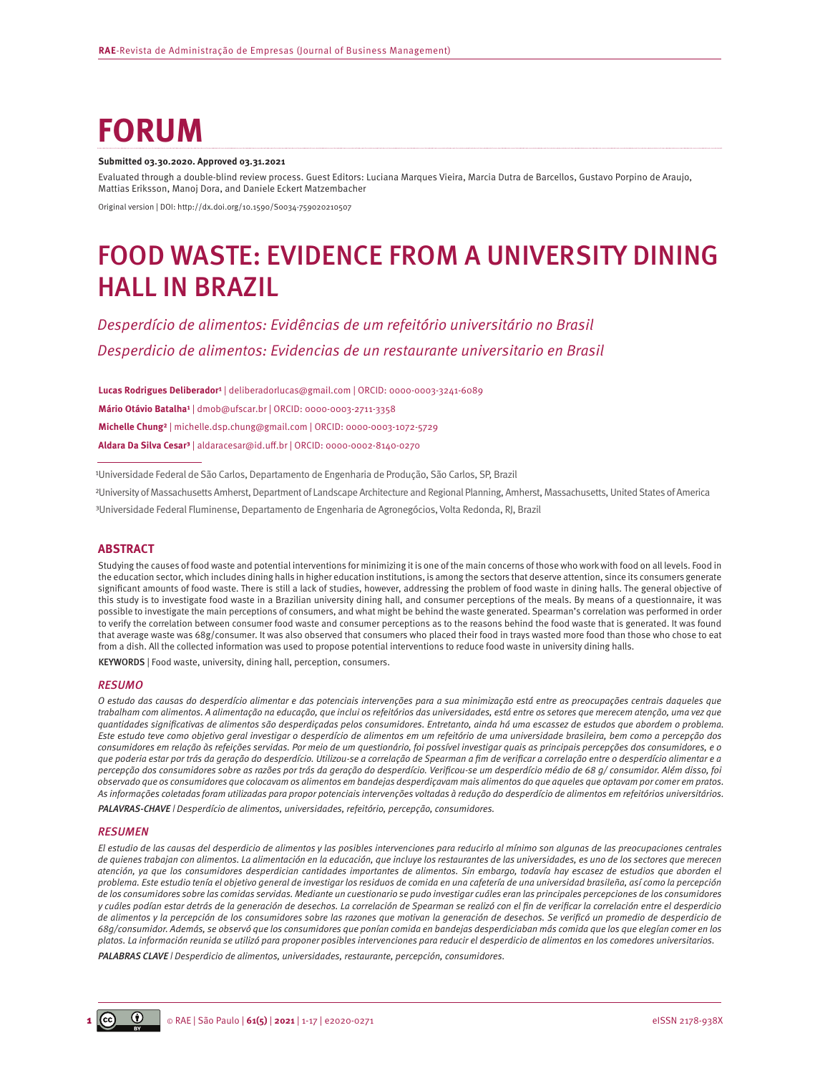# **FORUM**

#### **Submitted 03.30.2020. Approved 03.31.2021**

Evaluated through a double-blind review process. Guest Editors: Luciana Marques Vieira, Marcia Dutra de Barcellos, Gustavo Porpino de Araujo, Mattias Eriksson, Manoj Dora, and Daniele Eckert Matzembacher

Original version | DOI: <http://dx.doi.org/10.1590/S0034-759020210507>

# FOOD WASTE: EVIDENCE FROM A UNIVERSITY DINING HALL IN BRAZIL

# *Desperdício de alimentos: Evidências de um refeitório universitário no Brasil Desperdicio de alimentos: Evidencias de un restaurante universitario en Brasil*

Lucas Rodrigues Deliberador<sup>1</sup> | [deliberadorlucas@gmail.com](mailto:deliberadorlucas@gmail.com) | ORCID: 0000-0003-3241-6089 **Mário Otávio Batalha¹** | [dmob@ufscar.br](mailto:dmob@ufscar.br) | ORCID: 0000-0003-2711-3358 **Michelle Chung²** | [michelle.dsp.chung@gmail.com](mailto:michelle.dsp.chung@gmail.com) | ORCID: 0000-0003-1072-5729 **Aldara Da Silva Cesar³** | [aldaracesar@id.uff.br](mailto:aldaracesar@id.uff.br) | ORCID: 0000-0002-8140-0270

<sup>1</sup>Universidade Federal de São Carlos, Departamento de Engenharia de Produção, São Carlos, SP, Brazil

²University of Massachusetts Amherst, Department of Landscape Architecture and Regional Planning, Amherst, Massachusetts, United States of America

³Universidade Federal Fluminense, Departamento de Engenharia de Agronegócios, Volta Redonda, RJ, Brazil

### **ABSTRACT**

Studying the causes of food waste and potential interventions for minimizing it is one of the main concerns of those who work with food on all levels. Food in the education sector, which includes dining halls in higher education institutions, is among the sectors that deserve attention, since its consumers generate significant amounts of food waste. There is still a lack of studies, however, addressing the problem of food waste in dining halls. The general objective of this study is to investigate food waste in a Brazilian university dining hall, and consumer perceptions of the meals. By means of a questionnaire, it was possible to investigate the main perceptions of consumers, and what might be behind the waste generated. Spearman's correlation was performed in order to verify the correlation between consumer food waste and consumer perceptions as to the reasons behind the food waste that is generated. It was found that average waste was 68g/consumer. It was also observed that consumers who placed their food in trays wasted more food than those who chose to eat from a dish. All the collected information was used to propose potential interventions to reduce food waste in university dining halls.

KEYWORDS | Food waste, university, dining hall, perception, consumers.

#### *RESUMO*

*O estudo das causas do desperdício alimentar e das potenciais intervenções para a sua minimização está entre as preocupações centrais daqueles que trabalham com alimentos. A alimentação na educação, que inclui os refeitórios das universidades, está entre os setores que merecem atenção, uma vez que quantidades significativas de alimentos são desperdiçadas pelos consumidores. Entretanto, ainda há uma escassez de estudos que abordem o problema. Este estudo teve como objetivo geral investigar o desperdício de alimentos em um refeitório de uma universidade brasileira, bem como a percepção dos consumidores em relação às refeições servidas. Por meio de um questionário, foi possível investigar quais as principais percepções dos consumidores, e o que poderia estar por trás da geração do desperdício. Utilizou-se a correlação de Spearman a fim de verificar a correlação entre o desperdício alimentar e a percepção dos consumidores sobre as razões por trás da geração do desperdício. Verificou-se um desperdício médio de 68 g/ consumidor. Além disso, foi observado que os consumidores que colocavam os alimentos em bandejas desperdiçavam mais alimentos do que aqueles que optavam por comer em pratos. As informações coletadas foram utilizadas para propor potenciais intervenções voltadas à redução do desperdício de alimentos em refeitórios universitários.* 

*PALAVRAS-CHAVE | Desperdício de alimentos, universidades, refeitório, percepção, consumidores.*

#### *RESUMEN*

*El estudio de las causas del desperdicio de alimentos y las posibles intervenciones para reducirlo al mínimo son algunas de las preocupaciones centrales de quienes trabajan con alimentos. La alimentación en la educación, que incluye los restaurantes de las universidades, es uno de los sectores que merecen atención, ya que los consumidores desperdician cantidades importantes de alimentos. Sin embargo, todavía hay escasez de estudios que aborden el problema. Este estudio tenía el objetivo general de investigar los residuos de comida en una cafetería de una universidad brasileña, así como la percepción de los consumidores sobre las comidas servidas. Mediante un cuestionario se pudo investigar cuáles eran las principales percepciones de los consumidores y cuáles podían estar detrás de la generación de desechos. La correlación de Spearman se realizó con el fin de verificar la correlación entre el desperdicio de alimentos y la percepción de los consumidores sobre las razones que motivan la generación de desechos. Se verificó un promedio de desperdicio de 68g/consumidor. Además, se observó que los consumidores que ponían comida en bandejas desperdiciaban más comida que los que elegían comer en los platos. La información reunida se utilizó para proponer posibles intervenciones para reducir el desperdicio de alimentos en los comedores universitarios.*

*PALABRAS CLAVE | Desperdicio de alimentos, universidades, restaurante, percepción, consumidores.*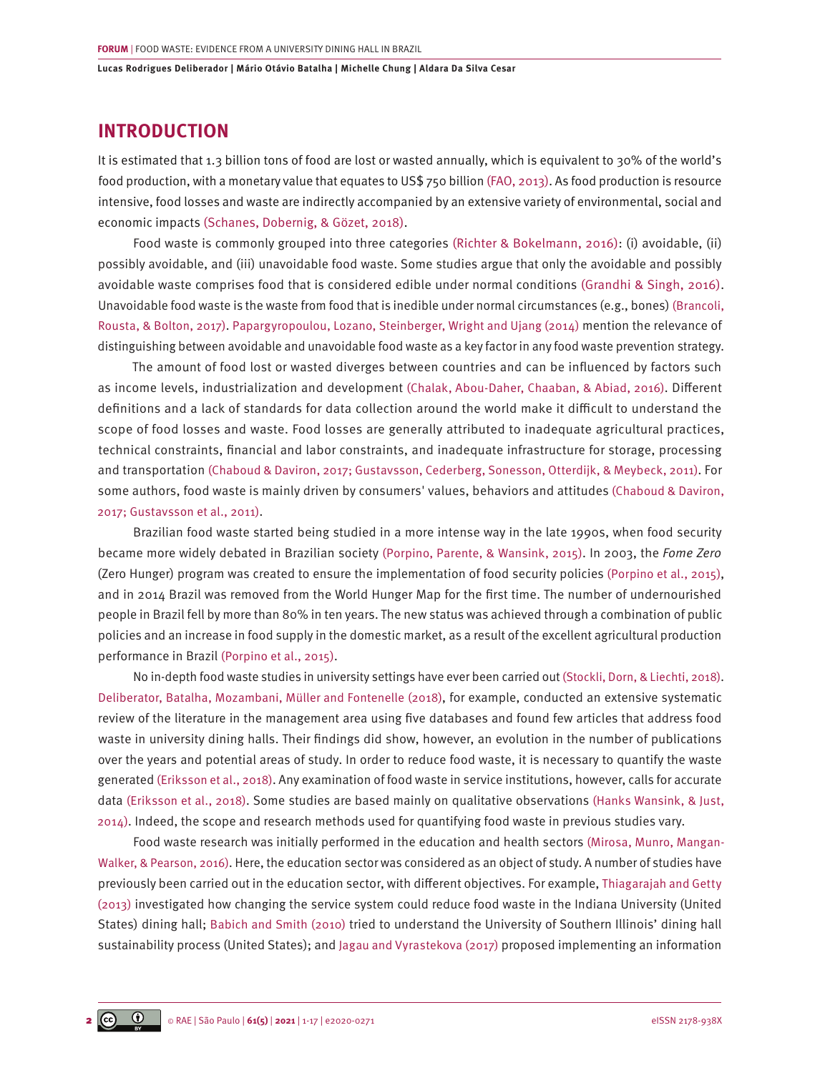# **INTRODUCTION**

It is estimated that 1.3 billion tons of food are lost or wasted annually, which is equivalent to 30% of the world's food production, with a monetary value that equates to US\$ 750 billion [\(FAO, 2013\).](#page-14-0) As food production is resource intensive, food losses and waste are indirectly accompanied by an extensive variety of environmental, social and economic impacts [\(Schanes, Dobernig, & Gözet, 2018\)](#page-15-0).

Food waste is commonly grouped into three categories [\(Richter & Bokelmann, 2016\)](#page-15-0): (i) avoidable, (ii) possibly avoidable, and (iii) unavoidable food waste. Some studies argue that only the avoidable and possibly avoidable waste comprises food that is considered edible under normal conditions ([Grandhi & Singh, 2016\)](#page-14-0). Unavoidable food waste is the waste from food that is inedible under normal circumstances (e.g., bones) [\(Brancoli,](#page-13-0) [Rousta, & Bolton, 2017\).](#page-13-0) [Papargyropoulou, Lozano, Steinberger, Wright and Ujang \(2014\)](#page-15-0) mention the relevance of distinguishing between avoidable and unavoidable food waste as a key factor in any food waste prevention strategy.

The amount of food lost or wasted diverges between countries and can be influenced by factors such as income levels, industrialization and development [\(Chalak, Abou-Daher, Chaaban, & Abiad, 2016\).](#page-13-0) Different definitions and a lack of standards for data collection around the world make it difficult to understand the scope of food losses and waste. Food losses are generally attributed to inadequate agricultural practices, technical constraints, financial and labor constraints, and inadequate infrastructure for storage, processing and transportation [\(Chaboud & Daviron, 2017; Gustavsson, Cederberg, Sonesson, Otterdijk, & Meybeck, 2011\).](#page-14-0) For some authors, food waste is mainly driven by consumers' values, behaviors and attitudes [\(Chaboud & Daviron,](#page-13-0) [2017; Gustavsson et al., 2011\)](#page-13-0).

Brazilian food waste started being studied in a more intense way in the late 1990s, when food security became more widely debated in Brazilian society [\(Porpino, Parente, & Wansink, 2015\).](#page-15-0) In 2003, the *Fome Zero* (Zero Hunger) program was created to ensure the implementation of food security policies [\(Porpino et al., 2015\)](#page-15-0), and in 2014 Brazil was removed from the World Hunger Map for the first time. The number of undernourished people in Brazil fell by more than 80% in ten years. The new status was achieved through a combination of public policies and an increase in food supply in the domestic market, as a result of the excellent agricultural production performance in Brazil [\(Porpino et al., 2015\).](#page-15-0)

No in-depth food waste studies in university settings have ever been carried out [\(Stockli, Dorn, & Liechti, 2018\)](#page-15-0). [Deliberator, Batalha, Mozambani, Müller and Fontenelle \(2018\)](#page-14-0), for example, conducted an extensive systematic review of the literature in the management area using five databases and found few articles that address food waste in university dining halls. Their findings did show, however, an evolution in the number of publications over the years and potential areas of study. In order to reduce food waste, it is necessary to quantify the waste generated [\(Eriksson et al., 2018\).](#page-14-0) Any examination of food waste in service institutions, however, calls for accurate data [\(Eriksson et al., 2018\).](#page-14-0) Some studies are based mainly on qualitative observations [\(Hanks Wansink, & Just,](#page-14-0) [2014\)](#page-14-0). Indeed, the scope and research methods used for quantifying food waste in previous studies vary.

Food waste research was initially performed in the education and health sectors [\(Mirosa, Munro, Mangan-](#page-15-0)[Walker, & Pearson, 2016\)](#page-15-0). Here, the education sector was considered as an object of study. A number of studies have previously been carried out in the education sector, with different objectives. For example, [Thiagarajah and Getty](#page-15-0) [\(2013\)](#page-15-0) investigated how changing the service system could reduce food waste in the Indiana University (United States) dining hall; [Babich and Smith \(2010\)](#page-13-0) tried to understand the University of Southern Illinois' dining hall sustainability process (United States); and [Jagau and Vyrastekova \(2017\)](#page-14-0) proposed implementing an information

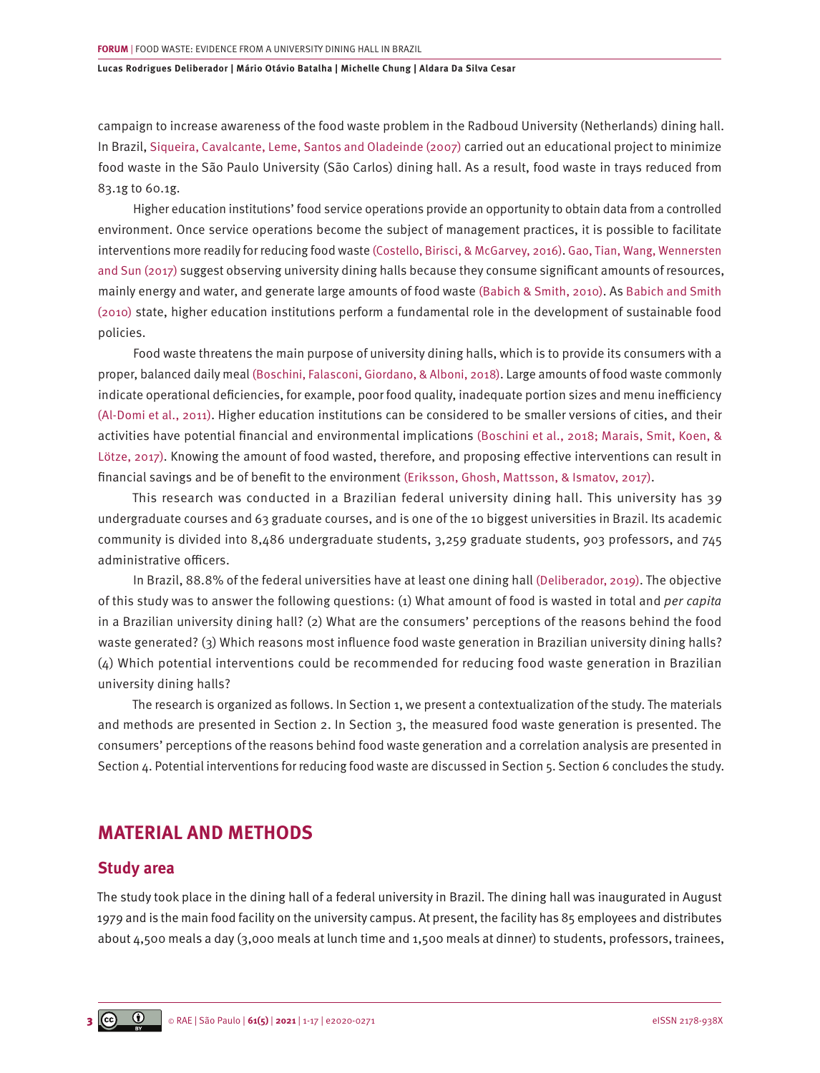campaign to increase awareness of the food waste problem in the Radboud University (Netherlands) dining hall. In Brazil, [Siqueira, Cavalcante, Leme, Santos and Oladeinde \(2007\)](#page-15-0) carried out an educational project to minimize food waste in the São Paulo University (São Carlos) dining hall. As a result, food waste in trays reduced from 83.1g to 60.1g.

Higher education institutions' food service operations provide an opportunity to obtain data from a controlled environment. Once service operations become the subject of management practices, it is possible to facilitate interventions more readily for reducing food waste [\(Costello, Birisci, & McGarvey, 2016\)](#page-14-0). [Gao, Tian, Wang, Wennersten](#page-14-0) [and Sun \(2017\) s](#page-14-0)uggest observing university dining halls because they consume significant amounts of resources, mainly energy and water, and generate large amounts of food waste [\(Babich & Smith, 2010\).](#page-13-0) As [Babich and Smith](#page-13-0) [\(2010\)](#page-13-0) state, higher education institutions perform a fundamental role in the development of sustainable food policies.

Food waste threatens the main purpose of university dining halls, which is to provide its consumers with a proper, balanced daily meal [\(Boschini, Falasconi, Giordano, & Alboni, 2018\)](#page-13-0). Large amounts of food waste commonly indicate operational deficiencies, for example, poor food quality, inadequate portion sizes and menu inefficiency [\(Al-Domi et al., 2011\)](#page-13-0). Higher education institutions can be considered to be smaller versions of cities, and their activities have potential financial and environmental implications [\(Boschini et al., 2018; Marais, Smit, Koen, &](#page-13-0) [Lötze, 2017\).](#page-13-0) Knowing the amount of food wasted, therefore, and proposing effective interventions can result in financial savings and be of benefit to the environment [\(Eriksson, Ghosh, Mattsson, & Ismatov, 2017\).](#page-14-0)

This research was conducted in a Brazilian federal university dining hall. This university has 39 undergraduate courses and 63 graduate courses, and is one of the 10 biggest universities in Brazil. Its academic community is divided into 8,486 undergraduate students, 3,259 graduate students, 903 professors, and 745 administrative officers.

In Brazil, 88.8% of the federal universities have at least one dining hall [\(Deliberador, 2019\).](#page-14-0) The objective of this study was to answer the following questions: (1) What amount of food is wasted in total and *per capita* in a Brazilian university dining hall? (2) What are the consumers' perceptions of the reasons behind the food waste generated? (3) Which reasons most influence food waste generation in Brazilian university dining halls? (4) Which potential interventions could be recommended for reducing food waste generation in Brazilian university dining halls?

The research is organized as follows. In Section 1, we present a contextualization of the study. The materials and methods are presented in Section 2. In Section 3, the measured food waste generation is presented. The consumers' perceptions of the reasons behind food waste generation and a correlation analysis are presented in Section 4. Potential interventions for reducing food waste are discussed in Section 5. Section 6 concludes the study.

# **MATERIAL AND METHODS**

### **Study area**

The study took place in the dining hall of a federal university in Brazil. The dining hall was inaugurated in August 1979 and is the main food facility on the university campus. At present, the facility has 85 employees and distributes about 4,500 meals a day (3,000 meals at lunch time and 1,500 meals at dinner) to students, professors, trainees,

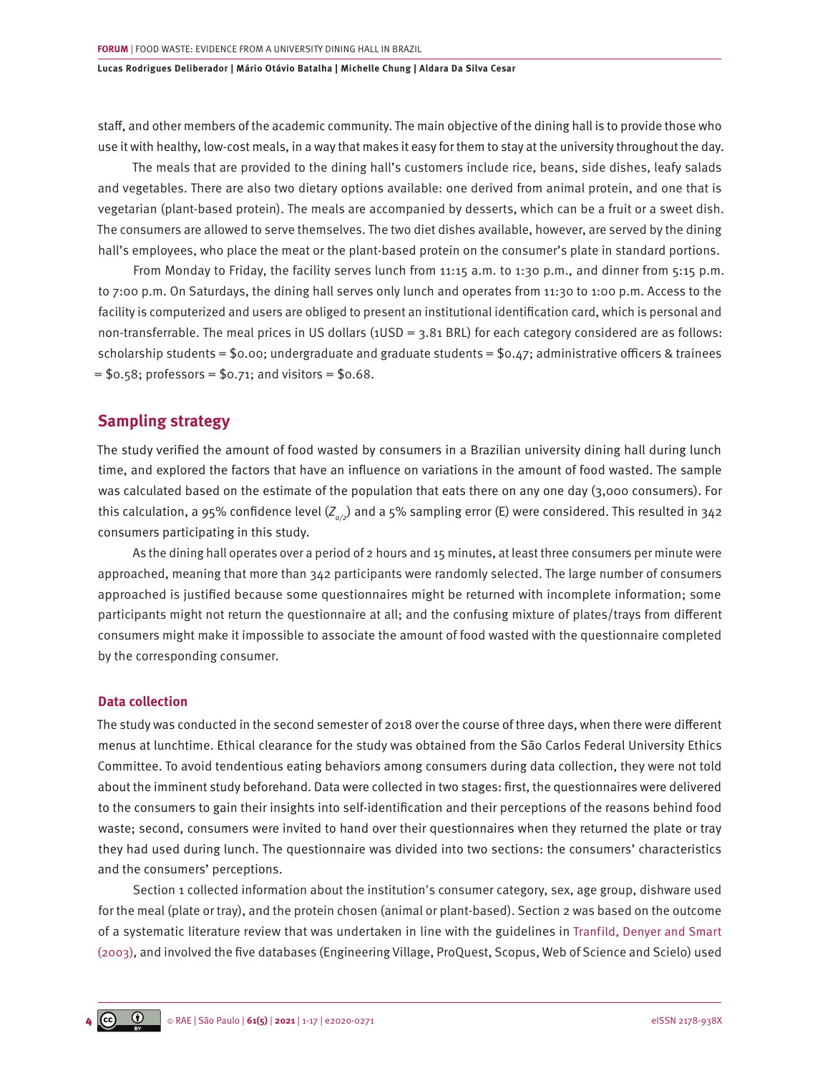staff, and other members of the academic community. The main objective of the dining hall is to provide those who use it with healthy, low-cost meals, in a way that makes it easy for them to stay at the university throughout the day.

The meals that are provided to the dining hall's customers include rice, beans, side dishes, leafy salads and vegetables. There are also two dietary options available: one derived from animal protein, and one that is vegetarian (plant-based protein). The meals are accompanied by desserts, which can be a fruit or a sweet dish. The consumers are allowed to serve themselves. The two diet dishes available, however, are served by the dining hall's employees, who place the meat or the plant-based protein on the consumer's plate in standard portions.

From Monday to Friday, the facility serves lunch from 11:15 a.m. to 1:30 p.m., and dinner from 5:15 p.m. to 7:00 p.m. On Saturdays, the dining hall serves only lunch and operates from 11:30 to 1:00 p.m. Access to the facility is computerized and users are obliged to present an institutional identification card, which is personal and non-transferrable. The meal prices in US dollars (1USD = 3.81 BRL) for each category considered are as follows: scholarship students = \$0.00; undergraduate and graduate students = \$0.47; administrative officers & trainees  $=$  \$0.58; professors = \$0.71; and visitors = \$0.68.

### **Sampling strategy**

The study verified the amount of food wasted by consumers in a Brazilian university dining hall during lunch time, and explored the factors that have an influence on variations in the amount of food wasted. The sample was calculated based on the estimate of the population that eats there on any one day (3,000 consumers). For this calculation, a 95% confidence level (*Zα/2*) and a 5% sampling error (E) were considered. This resulted in 342 consumers participating in this study.

As the dining hall operates over a period of 2 hours and 15 minutes, at least three consumers per minute were approached, meaning that more than 342 participants were randomly selected. The large number of consumers approached is justified because some questionnaires might be returned with incomplete information; some participants might not return the questionnaire at all; and the confusing mixture of plates/trays from different consumers might make it impossible to associate the amount of food wasted with the questionnaire completed by the corresponding consumer.

### **Data collection**

The study was conducted in the second semester of 2018 over the course of three days, when there were different menus at lunchtime. Ethical clearance for the study was obtained from the São Carlos Federal University Ethics Committee. To avoid tendentious eating behaviors among consumers during data collection, they were not told about the imminent study beforehand. Data were collected in two stages: first, the questionnaires were delivered to the consumers to gain their insights into self-identification and their perceptions of the reasons behind food waste; second, consumers were invited to hand over their questionnaires when they returned the plate or tray they had used during lunch. The questionnaire was divided into two sections: the consumers' characteristics and the consumers' perceptions.

Section 1 collected information about the institution's consumer category, sex, age group, dishware used for the meal (plate or tray), and the protein chosen (animal or plant-based). Section 2 was based on the outcome of a systematic literature review that was undertaken in line with the guidelines in [Tranfild, Denyer and Smart](#page-15-0) [\(2003\),](#page-15-0) and involved the five databases (Engineering Village, ProQuest, Scopus, Web of Science and Scielo) used

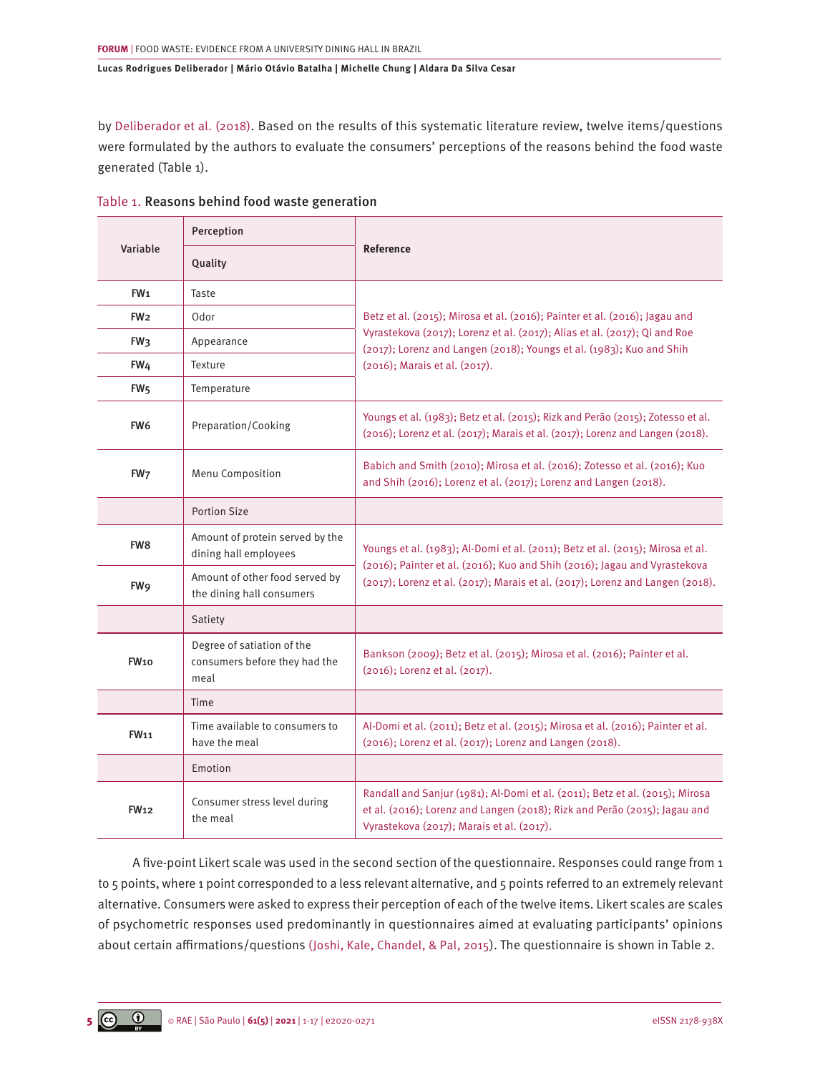b[y Deliberador et al. \(2018\)](#page-14-0). Based on the results of this systematic literature review, twelve items/questions were formulated by the authors to evaluate the consumers' perceptions of the reasons behind the food waste generated (Table 1).

|                  | Perception                                                          |                                                                                                                                                                                                        |  |  |  |
|------------------|---------------------------------------------------------------------|--------------------------------------------------------------------------------------------------------------------------------------------------------------------------------------------------------|--|--|--|
| Variable         | Quality                                                             | <b>Reference</b>                                                                                                                                                                                       |  |  |  |
| FW <sub>1</sub>  | Taste                                                               |                                                                                                                                                                                                        |  |  |  |
| FW <sub>2</sub>  | Odor                                                                | Betz et al. (2015); Mirosa et al. (2016); Painter et al. (2016); Jagau and                                                                                                                             |  |  |  |
| FW <sub>3</sub>  | Appearance                                                          | Vyrastekova (2017); Lorenz et al. (2017); Alias et al. (2017); Qi and Roe<br>(2017); Lorenz and Langen (2018); Youngs et al. (1983); Kuo and Shih                                                      |  |  |  |
| FW <sub>4</sub>  | Texture                                                             | (2016); Marais et al. (2017).                                                                                                                                                                          |  |  |  |
| FW <sub>5</sub>  | Temperature                                                         |                                                                                                                                                                                                        |  |  |  |
| FW <sub>6</sub>  | Preparation/Cooking                                                 | Youngs et al. (1983); Betz et al. (2015); Rizk and Perão (2015); Zotesso et al.<br>(2016); Lorenz et al. (2017); Marais et al. (2017); Lorenz and Langen (2018).                                       |  |  |  |
| FW <sub>7</sub>  | Menu Composition                                                    | Babich and Smith (2010); Mirosa et al. (2016); Zotesso et al. (2016); Kuo<br>and Shih (2016); Lorenz et al. (2017); Lorenz and Langen (2018).                                                          |  |  |  |
|                  | <b>Portion Size</b>                                                 |                                                                                                                                                                                                        |  |  |  |
| FW <sub>8</sub>  | Amount of protein served by the<br>dining hall employees            | Youngs et al. (1983); Al-Domi et al. (2011); Betz et al. (2015); Mirosa et al.<br>(2016); Painter et al. (2016); Kuo and Shih (2016); Jagau and Vyrastekova                                            |  |  |  |
| FW <sub>9</sub>  | Amount of other food served by<br>the dining hall consumers         | (2017); Lorenz et al. (2017); Marais et al. (2017); Lorenz and Langen (2018).                                                                                                                          |  |  |  |
|                  | Satiety                                                             |                                                                                                                                                                                                        |  |  |  |
| FW <sub>10</sub> | Degree of satiation of the<br>consumers before they had the<br>meal | Bankson (2009); Betz et al. (2015); Mirosa et al. (2016); Painter et al.<br>(2016); Lorenz et al. (2017).                                                                                              |  |  |  |
|                  | Time                                                                |                                                                                                                                                                                                        |  |  |  |
| <b>FW11</b>      | Time available to consumers to<br>have the meal                     | Al-Domi et al. (2011); Betz et al. (2015); Mirosa et al. (2016); Painter et al.<br>(2016); Lorenz et al. (2017); Lorenz and Langen (2018).                                                             |  |  |  |
|                  | Emotion                                                             |                                                                                                                                                                                                        |  |  |  |
| <b>FW12</b>      | Consumer stress level during<br>the meal                            | Randall and Sanjur (1981); Al-Domi et al. (2011); Betz et al. (2015); Mirosa<br>et al. (2016); Lorenz and Langen (2018); Rizk and Perão (2015); Jagau and<br>Vyrastekova (2017); Marais et al. (2017). |  |  |  |

Table 1. Reasons behind food waste generation

A five-point Likert scale was used in the second section of the questionnaire. Responses could range from 1 to 5 points, where 1 point corresponded to a less relevant alternative, and 5 points referred to an extremely relevant alternative. Consumers were asked to express their perception of each of the twelve items. Likert scales are scales of psychometric responses used predominantly in questionnaires aimed at evaluating participants' opinions about certain affirmations/questions [\(Joshi, Kale, Chandel, & Pal, 2015](#page-14-0)). The questionnaire is shown in Table 2.

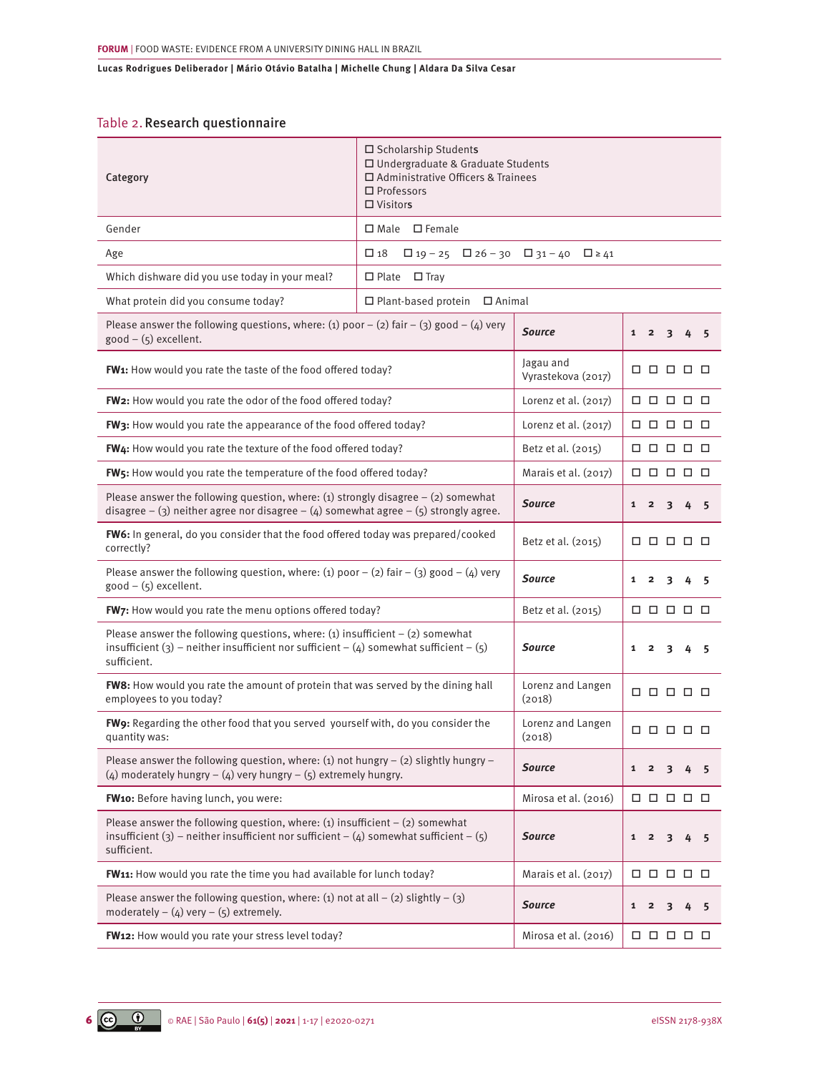### Table 2.Research questionnaire

| Category                                                                                                                                                                                 | □ Scholarship Students<br>□ Undergraduate & Graduate Students<br>□ Administrative Officers & Trainees<br>$\square$ Professors<br>$\Box$ Visitors |                                                                     |                                                 |  |  |  |
|------------------------------------------------------------------------------------------------------------------------------------------------------------------------------------------|--------------------------------------------------------------------------------------------------------------------------------------------------|---------------------------------------------------------------------|-------------------------------------------------|--|--|--|
| Gender                                                                                                                                                                                   | □ Male □ Female                                                                                                                                  |                                                                     |                                                 |  |  |  |
| Age                                                                                                                                                                                      | $\square$ 18<br>$\Box$ 19 - 25 $\Box$ 26 - 30 $\Box$ 31 - 40 $\Box$ ≥ 41                                                                         |                                                                     |                                                 |  |  |  |
| Which dishware did you use today in your meal?                                                                                                                                           | $\Box$ Plate<br>$\Box$ Tray                                                                                                                      |                                                                     |                                                 |  |  |  |
| What protein did you consume today?                                                                                                                                                      | $\Box$ Plant-based protein<br>$\Box$ Animal                                                                                                      |                                                                     |                                                 |  |  |  |
| Please answer the following questions, where: (1) poor - (2) fair - (3) good - (4) very<br>$good - (5)$ excellent.                                                                       |                                                                                                                                                  | <b>Source</b>                                                       | $1\quad 2$<br>$\overline{\mathbf{3}}$<br>4<br>5 |  |  |  |
| FW1: How would you rate the taste of the food offered today?                                                                                                                             |                                                                                                                                                  | Jagau and<br>Vyrastekova (2017)                                     | 00000                                           |  |  |  |
| FW2: How would you rate the odor of the food offered today?                                                                                                                              |                                                                                                                                                  | Lorenz et al. $(2017)$                                              | 88888                                           |  |  |  |
| FW3: How would you rate the appearance of the food offered today?                                                                                                                        |                                                                                                                                                  | Lorenz et al. $(2017)$                                              | 88888                                           |  |  |  |
| FW4: How would you rate the texture of the food offered today?                                                                                                                           |                                                                                                                                                  | Betz et al. (2015)                                                  | 00000                                           |  |  |  |
| FW5: How would you rate the temperature of the food offered today?                                                                                                                       |                                                                                                                                                  | Marais et al. (2017)                                                | 00000                                           |  |  |  |
| Please answer the following question, where: (1) strongly disagree $-$ (2) somewhat<br>disagree - (3) neither agree nor disagree - (4) somewhat agree - (5) strongly agree.              | <b>Source</b>                                                                                                                                    | $\mathbf{1}$<br>$\overline{2}$<br>3<br>4<br>5                       |                                                 |  |  |  |
| FW6: In general, do you consider that the food offered today was prepared/cooked<br>correctly?                                                                                           | Betz et al. (2015)                                                                                                                               | 88888                                                               |                                                 |  |  |  |
| Please answer the following question, where: (1) poor $-$ (2) fair $-$ (3) good $-$ (4) very<br>$good - (5)$ excellent.                                                                  | <b>Source</b>                                                                                                                                    | $\mathbf{1}$<br>$\overline{\mathbf{2}}$<br>3<br>4<br>5              |                                                 |  |  |  |
| FW7: How would you rate the menu options offered today?                                                                                                                                  | Betz et al. (2015)                                                                                                                               | 88888                                                               |                                                 |  |  |  |
| Please answer the following questions, where: (1) insufficient $-$ (2) somewhat<br>insufficient (3) – neither insufficient nor sufficient – (4) somewhat sufficient – (5)<br>sufficient. | <b>Source</b>                                                                                                                                    | $\overline{\mathbf{2}}$<br>$\overline{\mathbf{3}}$<br>1<br>4<br>- 5 |                                                 |  |  |  |
| FW8: How would you rate the amount of protein that was served by the dining hall<br>employees to you today?                                                                              |                                                                                                                                                  | Lorenz and Langen<br>(2018)                                         | 88888                                           |  |  |  |
| FW9: Regarding the other food that you served yourself with, do you consider the<br>quantity was:                                                                                        | Lorenz and Langen<br>(2018)                                                                                                                      | 88888                                                               |                                                 |  |  |  |
| Please answer the following question, where: (1) not hungry $-$ (2) slightly hungry $-$<br>(4) moderately hungry $-$ (4) very hungry $-$ (5) extremely hungry.                           | <b>Source</b>                                                                                                                                    | $1\quad 2$<br>3<br>4<br>- 5                                         |                                                 |  |  |  |
| FW10: Before having lunch, you were:                                                                                                                                                     | Mirosa et al. (2016)                                                                                                                             | 0 0 0 0 0                                                           |                                                 |  |  |  |
| Please answer the following question, where: (1) insufficient $-$ (2) somewhat<br>insufficient (3) – neither insufficient nor sufficient – (4) somewhat sufficient – (5)<br>sufficient.  | <b>Source</b>                                                                                                                                    | $1\quad 2$<br>$\overline{\mathbf{3}}$<br>4 5                        |                                                 |  |  |  |
| FW11: How would you rate the time you had available for lunch today?                                                                                                                     |                                                                                                                                                  | Marais et al. (2017)                                                | 0 0 0 0 0                                       |  |  |  |
| Please answer the following question, where: (1) not at all $-$ (2) slightly $-$ (3)<br>moderately $-$ (4) very $-$ (5) extremely.                                                       |                                                                                                                                                  | <b>Source</b>                                                       | $1\quad 2$<br>3<br>4<br>5                       |  |  |  |
| FW12: How would you rate your stress level today?                                                                                                                                        | Mirosa et al. (2016)                                                                                                                             | 0 0 0 0 0                                                           |                                                 |  |  |  |

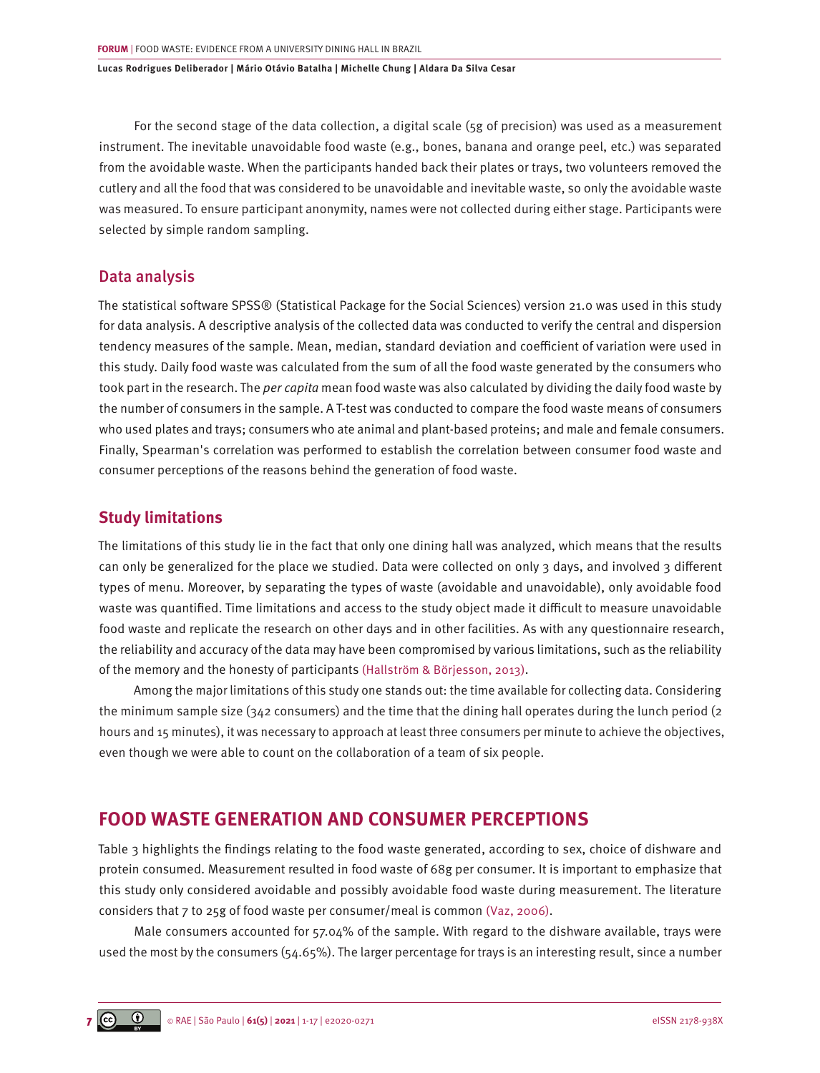For the second stage of the data collection, a digital scale (5g of precision) was used as a measurement instrument. The inevitable unavoidable food waste (e.g., bones, banana and orange peel, etc.) was separated from the avoidable waste. When the participants handed back their plates or trays, two volunteers removed the cutlery and all the food that was considered to be unavoidable and inevitable waste, so only the avoidable waste was measured. To ensure participant anonymity, names were not collected during either stage. Participants were selected by simple random sampling.

### Data analysis

The statistical software SPSS® (Statistical Package for the Social Sciences) version 21.0 was used in this study for data analysis. A descriptive analysis of the collected data was conducted to verify the central and dispersion tendency measures of the sample. Mean, median, standard deviation and coefficient of variation were used in this study. Daily food waste was calculated from the sum of all the food waste generated by the consumers who took part in the research. The *per capita* mean food waste was also calculated by dividing the daily food waste by the number of consumers in the sample. A T-test was conducted to compare the food waste means of consumers who used plates and trays; consumers who ate animal and plant-based proteins; and male and female consumers. Finally, Spearman's correlation was performed to establish the correlation between consumer food waste and consumer perceptions of the reasons behind the generation of food waste.

### **Study limitations**

The limitations of this study lie in the fact that only one dining hall was analyzed, which means that the results can only be generalized for the place we studied. Data were collected on only 3 days, and involved 3 different types of menu. Moreover, by separating the types of waste (avoidable and unavoidable), only avoidable food waste was quantified. Time limitations and access to the study object made it difficult to measure unavoidable food waste and replicate the research on other days and in other facilities. As with any questionnaire research, the reliability and accuracy of the data may have been compromised by various limitations, such as the reliability of the memory and the honesty of participants [\(Hallström & Börjesson, 2013\)](#page-14-0).

Among the major limitations of this study one stands out: the time available for collecting data. Considering the minimum sample size (342 consumers) and the time that the dining hall operates during the lunch period (2 hours and 15 minutes), it was necessary to approach at least three consumers per minute to achieve the objectives, even though we were able to count on the collaboration of a team of six people.

# **FOOD WASTE GENERATION AND CONSUMER PERCEPTIONS**

Table 3 highlights the findings relating to the food waste generated, according to sex, choice of dishware and protein consumed. Measurement resulted in food waste of 68g per consumer. It is important to emphasize that this study only considered avoidable and possibly avoidable food waste during measurement. The literature considers that 7 to 25g of food waste per consumer/meal is common [\(Vaz, 2006\).](#page-15-0)

Male consumers accounted for 57.04% of the sample. With regard to the dishware available, trays were used the most by the consumers (54.65%). The larger percentage for trays is an interesting result, since a number

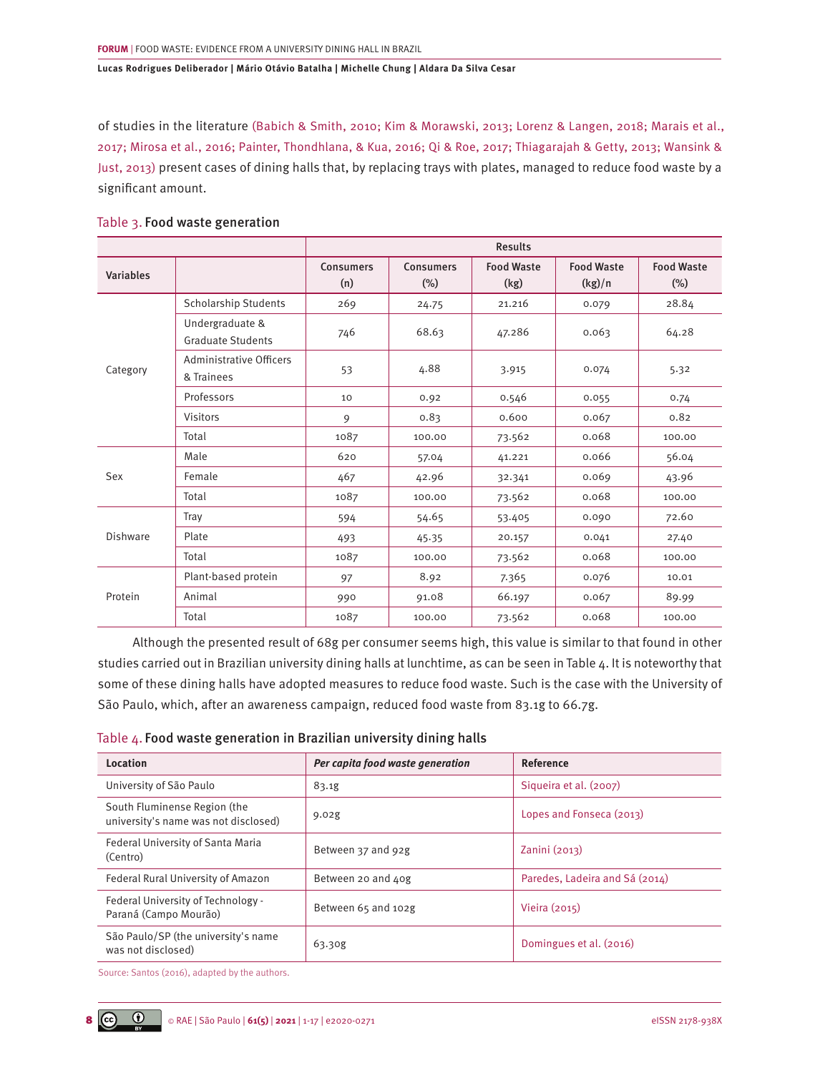of studies in the literature [\(Babich & Smith, 2010; Kim & Morawski, 2013; Lorenz & Langen, 2018; Marais et al.,](#page-13-0) [2017; Mirosa et al., 2016; Painter, Thondhlana, & Kua, 2016; Qi & Roe, 2017; Thiagarajah & Getty, 2013; Wansink &](#page-13-0) [Just, 2013\)](#page-13-0) present cases of dining halls that, by replacing trays with plates, managed to reduce food waste by a significant amount.

|                  |                                             | <b>Results</b>   |                                                                                                                                                                                       |                   |                   |                   |  |  |
|------------------|---------------------------------------------|------------------|---------------------------------------------------------------------------------------------------------------------------------------------------------------------------------------|-------------------|-------------------|-------------------|--|--|
| <b>Variables</b> |                                             | <b>Consumers</b> | <b>Consumers</b>                                                                                                                                                                      | <b>Food Waste</b> | <b>Food Waste</b> | <b>Food Waste</b> |  |  |
|                  |                                             | (n)              | $(\%)$<br>(kg)<br>21.216<br>24.75<br>68.63<br>47.286<br>4.88<br>3.915<br>0.546<br>0.92<br>0.600<br>0.83<br>73.562<br>100.00<br>57.04<br>41.221<br>42.96<br>32.341<br>100.00<br>73.562 |                   | (kg)/n            | $(\%)$            |  |  |
|                  | Scholarship Students                        | 269              |                                                                                                                                                                                       |                   | 0.079             | 28.84             |  |  |
| Category         | Undergraduate &<br><b>Graduate Students</b> | 746              |                                                                                                                                                                                       |                   | 0.063             | 64.28             |  |  |
|                  | Administrative Officers<br>& Trainees       | 53               |                                                                                                                                                                                       |                   | 0.074             | 5.32              |  |  |
|                  | Professors                                  | 10               |                                                                                                                                                                                       |                   | 0.055             | 0.74              |  |  |
|                  | <b>Visitors</b>                             | 9                |                                                                                                                                                                                       |                   | 0.067             | 0.82              |  |  |
|                  | Total                                       | 1087             |                                                                                                                                                                                       |                   | 0.068             | 100.00            |  |  |
| Sex              | Male                                        | 620              |                                                                                                                                                                                       |                   | 0.066             | 56.04             |  |  |
|                  | Female                                      | 467              |                                                                                                                                                                                       |                   | 0.069             | 43.96             |  |  |
|                  | Total                                       | 1087             |                                                                                                                                                                                       |                   | 0.068             | 100.00            |  |  |
|                  | Tray                                        | 594              | 54.65                                                                                                                                                                                 | 53.405            | 0.090             | 72.60             |  |  |
| Dishware         | Plate                                       | 493              | 45.35                                                                                                                                                                                 | 20.157            | 0.041             | 27.40             |  |  |
|                  | Total                                       | 1087             | 100.00                                                                                                                                                                                | 73.562            | 0.068             | 100.00            |  |  |
|                  | Plant-based protein                         | 97               | 8.92                                                                                                                                                                                  | 7.365             | 0.076             | 10.01             |  |  |
| Protein          | Animal                                      | 990              | 91.08                                                                                                                                                                                 | 66.197            | 0.067             | 89.99             |  |  |
|                  | Total                                       | 1087             | 100.00                                                                                                                                                                                | 73.562            | 0.068             | 100.00            |  |  |

### Table 3. Food waste generation

Although the presented result of 68g per consumer seems high, this value is similar to that found in other studies carried out in Brazilian university dining halls at lunchtime, as can be seen in Table 4. It is noteworthy that some of these dining halls have adopted measures to reduce food waste. Such is the case with the University of São Paulo, which, after an awareness campaign, reduced food waste from 83.1g to 66.7g.

|  | Table 4. Food waste generation in Brazilian university dining halls |  |  |  |  |
|--|---------------------------------------------------------------------|--|--|--|--|
|--|---------------------------------------------------------------------|--|--|--|--|

| Location                                                             | Per capita food waste generation | Reference                      |
|----------------------------------------------------------------------|----------------------------------|--------------------------------|
| University of São Paulo                                              | 83.1g                            | Sigueira et al. (2007)         |
| South Fluminense Region (the<br>university's name was not disclosed) | 9.02g                            | Lopes and Fonseca (2013)       |
| Federal University of Santa Maria<br>(Centro)                        | Between 37 and 92g               | Zanini(2013)                   |
| Federal Rural University of Amazon                                   | Between 20 and 40g               | Paredes, Ladeira and Sá (2014) |
| Federal University of Technology -<br>Paraná (Campo Mourão)          | Between 65 and 102g              | Vieira (2015)                  |
| São Paulo/SP (the university's name<br>was not disclosed)            | 63.30g                           | Domingues et al. (2016)        |

Source: Santos (2016), adapted by the authors.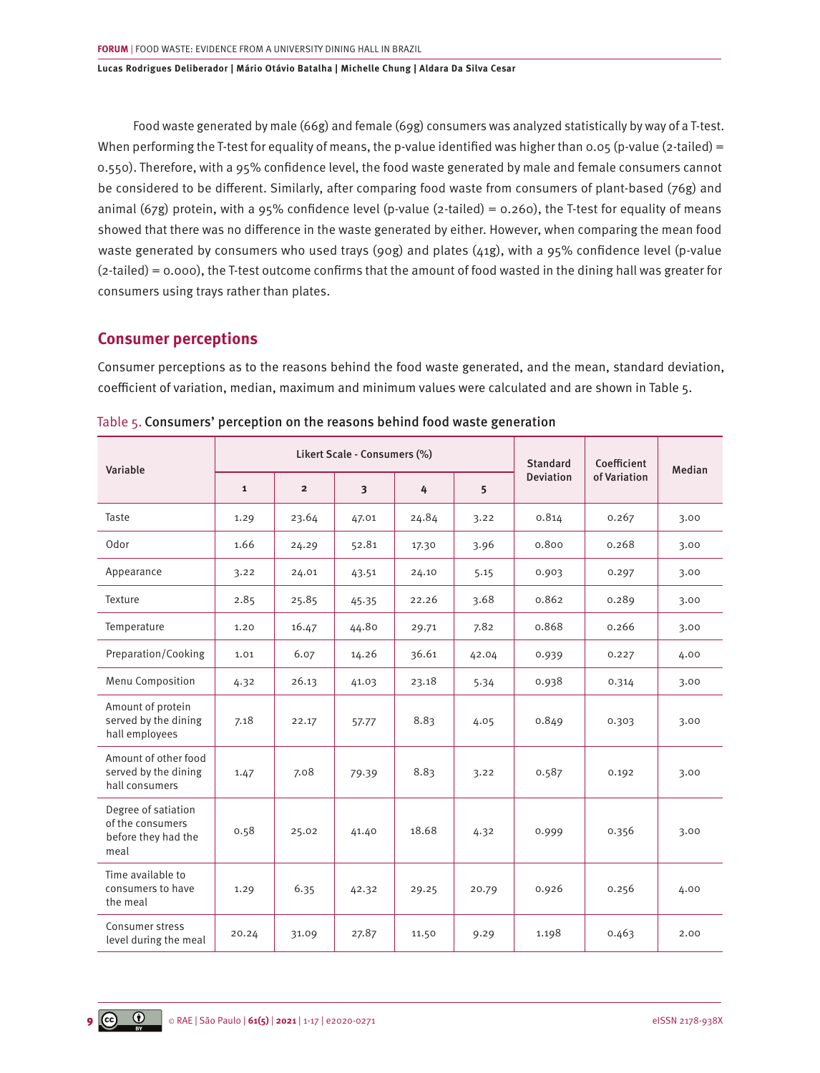Food waste generated by male (66g) and female (69g) consumers was analyzed statistically by way of a T-test. When performing the T-test for equality of means, the p-value identified was higher than 0.05 (p-value (2-tailed) = 0.550). Therefore, with a 95% confidence level, the food waste generated by male and female consumers cannot be considered to be different. Similarly, after comparing food waste from consumers of plant-based (76g) and animal (67g) protein, with a 95% confidence level (p-value (2-tailed) = 0.260), the T-test for equality of means showed that there was no difference in the waste generated by either. However, when comparing the mean food waste generated by consumers who used trays (90g) and plates (41g), with a 95% confidence level (p-value (2-tailed) = 0.000), the T-test outcome confirms that the amount of food wasted in the dining hall was greater for consumers using trays rather than plates.

## **Consumer perceptions**

Consumer perceptions as to the reasons behind the food waste generated, and the mean, standard deviation, coefficient of variation, median, maximum and minimum values were calculated and are shown in Table 5.

| Variable                                                               | Likert Scale - Consumers (%) |                |                         |       |       | <b>Standard</b>  | Coefficient  | Median |
|------------------------------------------------------------------------|------------------------------|----------------|-------------------------|-------|-------|------------------|--------------|--------|
|                                                                        | $\mathbf{1}$                 | $\overline{2}$ | $\overline{\mathbf{3}}$ | 4     | 5     | <b>Deviation</b> | of Variation |        |
| Taste                                                                  | 1.29                         | 23.64          | 47.01                   | 24.84 | 3.22  | 0.814            | 0.267        | 3.00   |
| Odor                                                                   | 1.66                         | 24.29          | 52.81                   | 17.30 | 3.96  | 0.800            | 0.268        | 3.00   |
| Appearance                                                             | 3.22                         | 24.01          | 43.51                   | 24.10 | 5.15  | 0.903            | 0.297        | 3.00   |
| Texture                                                                | 2.85                         | 25.85          | 45.35                   | 22.26 | 3.68  | 0.862            | 0.289        | 3.00   |
| Temperature                                                            | 1.20                         | 16.47          | 44.80                   | 29.71 | 7.82  | 0.868            | 0.266        | 3.00   |
| Preparation/Cooking                                                    | 1.01                         | 6.07           | 14.26                   | 36.61 | 42.04 | 0.939            | 0.227        | 4.00   |
| Menu Composition                                                       | 4.32                         | 26.13          | 41.03                   | 23.18 | 5.34  | 0.938            | 0.314        | 3.00   |
| Amount of protein<br>served by the dining<br>hall employees            | 7.18                         | 22.17          | 57.77                   | 8.83  | 4.05  | 0.849            | 0.303        | 3.00   |
| Amount of other food<br>served by the dining<br>hall consumers         | 1.47                         | 7.08           | 79.39                   | 8.83  | 3.22  | 0.587            | 0.192        | 3.00   |
| Degree of satiation<br>of the consumers<br>before they had the<br>meal | 0.58                         | 25.02          | 41.40                   | 18.68 | 4.32  | 0.999            | 0.356        | 3.00   |
| Time available to<br>consumers to have<br>the meal                     | 1.29                         | 6.35           | 42.32                   | 29.25 | 20.79 | 0.926            | 0.256        | 4.00   |
| Consumer stress<br>level during the meal                               | 20.24                        | 31.09          | 27.87                   | 11.50 | 9.29  | 1.198            | 0.463        | 2.00   |

Table 5. Consumers' perception on the reasons behind food waste generation

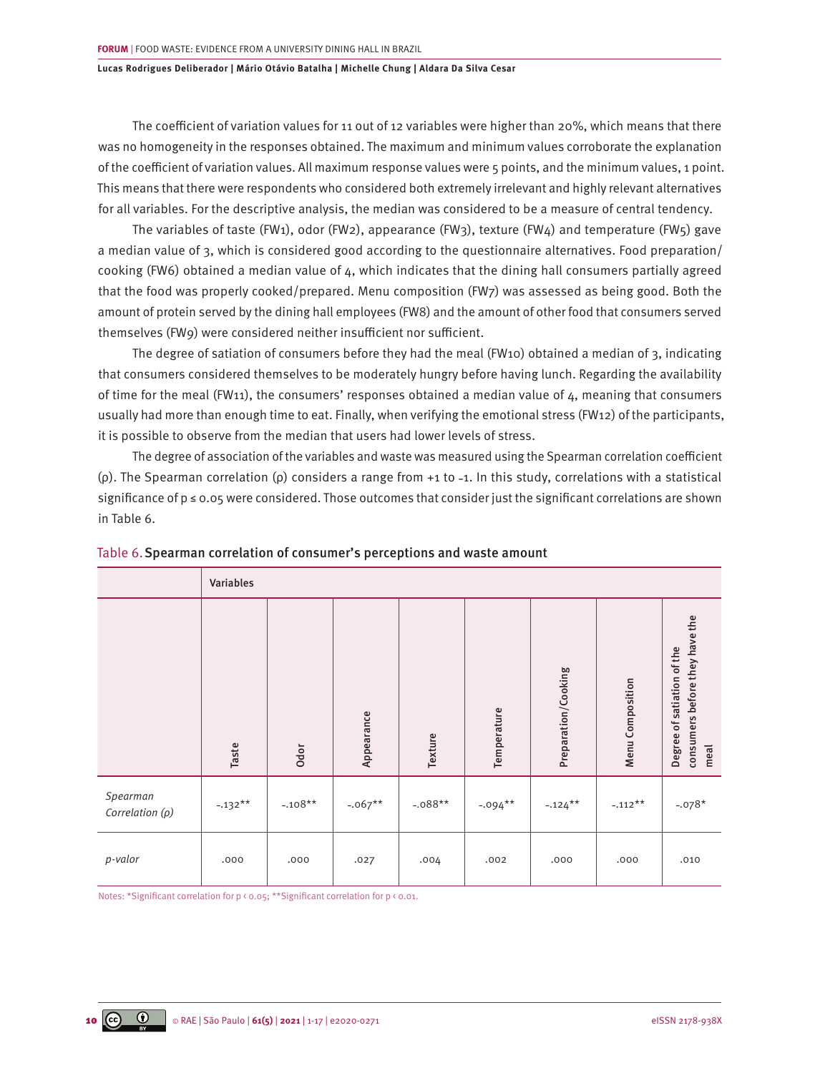The coefficient of variation values for 11 out of 12 variables were higher than 20%, which means that there was no homogeneity in the responses obtained. The maximum and minimum values corroborate the explanation of the coefficient of variation values. All maximum response values were 5 points, and the minimum values, 1 point. This means that there were respondents who considered both extremely irrelevant and highly relevant alternatives for all variables. For the descriptive analysis, the median was considered to be a measure of central tendency.

The variables of taste (FW1), odor (FW2), appearance (FW3), texture (FW4) and temperature (FW5) gave a median value of 3, which is considered good according to the questionnaire alternatives. Food preparation/ cooking (FW6) obtained a median value of 4, which indicates that the dining hall consumers partially agreed that the food was properly cooked/prepared. Menu composition (FW7) was assessed as being good. Both the amount of protein served by the dining hall employees (FW8) and the amount of other food that consumers served themselves (FW9) were considered neither insufficient nor sufficient.

The degree of satiation of consumers before they had the meal (FW10) obtained a median of 3, indicating that consumers considered themselves to be moderately hungry before having lunch. Regarding the availability of time for the meal (FW11), the consumers' responses obtained a median value of  $4$ , meaning that consumers usually had more than enough time to eat. Finally, when verifying the emotional stress (FW12) of the participants, it is possible to observe from the median that users had lower levels of stress.

The degree of association of the variables and waste was measured using the Spearman correlation coefficient ( $\rho$ ). The Spearman correlation ( $\rho$ ) considers a range from +1 to -1. In this study, correlations with a statistical significance of p ≤ 0.05 were considered. Those outcomes that consider just the significant correlations are shown in Table 6.

|                                  | Variables |           |            |           |             |                     |                  |                                                                      |  |
|----------------------------------|-----------|-----------|------------|-----------|-------------|---------------------|------------------|----------------------------------------------------------------------|--|
|                                  | Taste     | Odor      | Appearance | Texture   | Temperature | Preparation/Cooking | Menu Composition | consumers before they have the<br>Degree of satiation of the<br>meal |  |
| Spearman<br>Correlation $(\rho)$ | $-.132**$ | $-.108**$ | $-.067**$  | $-.088**$ | $-.094***$  | $-.124***$          | $-.112**$        | $-.078*$                                                             |  |
| p-valor                          | .000      | .000      | .027       | .004      | .002        | .000                | .000             | .010                                                                 |  |

|  |  | Table 6. Spearman correlation of consumer's perceptions and waste amount |
|--|--|--------------------------------------------------------------------------|
|  |  |                                                                          |

Notes: \*Significant correlation for p < 0.05; \*\*Significant correlation for p < 0.01.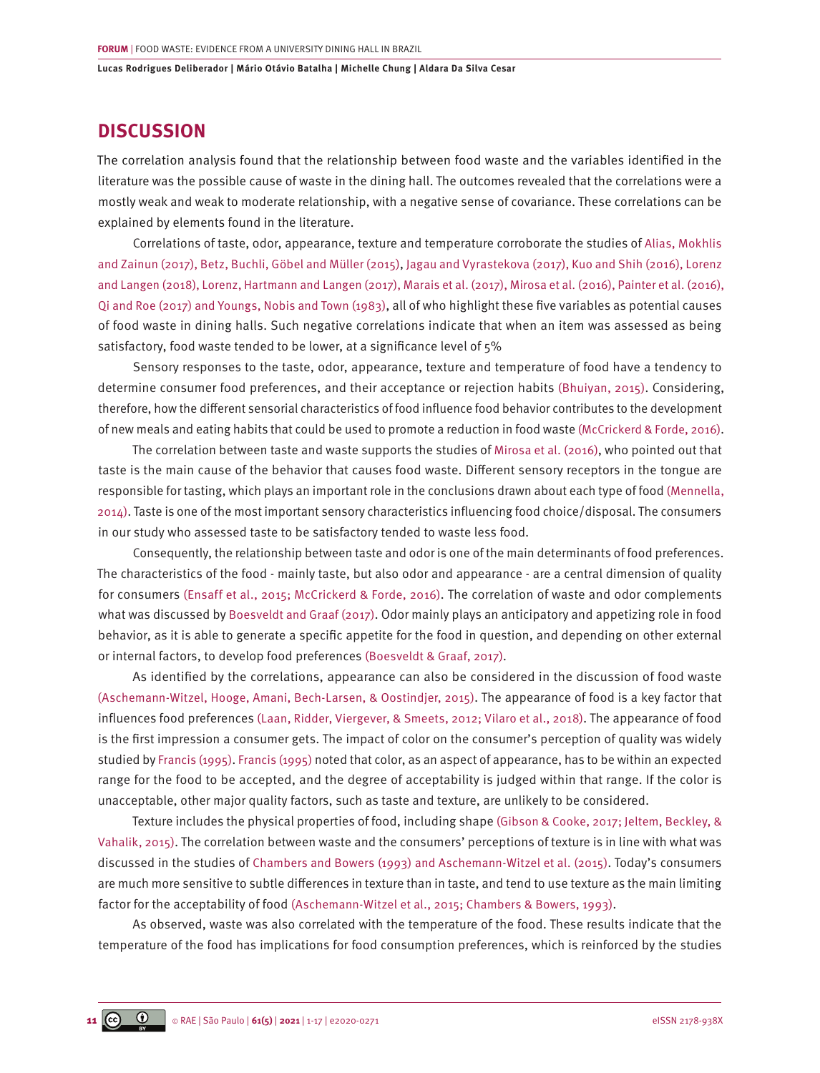# **DISCUSSION**

The correlation analysis found that the relationship between food waste and the variables identified in the literature was the possible cause of waste in the dining hall. The outcomes revealed that the correlations were a mostly weak and weak to moderate relationship, with a negative sense of covariance. These correlations can be explained by elements found in the literature.

Correlations of taste, odor, appearance, texture and temperature corroborate the studies of [Alias, Mokhlis](#page-13-0) [and Zainun \(2017\), Betz, Buchli, Göbel and Müller \(2015\)](#page-13-0), [Jagau and Vyrastekova \(2017\), Kuo and Shih \(2016\), Lorenz](#page-14-0) [and Langen \(2018\), Lorenz, Hartmann and Langen \(2017\), Marais et al. \(2017\), Mirosa et al. \(2016\), Painter et al. \(2016\),](#page-14-0) [Qi and Roe \(2017\) and Youngs, Nobis and Town \(1983\)](#page-14-0), all of who highlight these five variables as potential causes of food waste in dining halls. Such negative correlations indicate that when an item was assessed as being satisfactory, food waste tended to be lower, at a significance level of 5%

Sensory responses to the taste, odor, appearance, texture and temperature of food have a tendency to determine consumer food preferences, and their acceptance or rejection habits [\(Bhuiyan, 2015\)](#page-13-0). Considering, therefore, how the different sensorial characteristics of food influence food behavior contributes to the development of new meals and eating habits that could be used to promote a reduction in food waste [\(McCrickerd & Forde, 2016\)](#page-15-0).

The correlation between taste and waste supports the studies of [Mirosa et al. \(2016\)](#page-14-0), who pointed out that taste is the main cause of the behavior that causes food waste. Different sensory receptors in the tongue are responsible for tasting, which plays an important role in the conclusions drawn about each type of food [\(Mennella,](#page-14-0) [2014\).](#page-14-0) Taste is one of the most important sensory characteristics influencing food choice/disposal. The consumers in our study who assessed taste to be satisfactory tended to waste less food.

Consequently, the relationship between taste and odor is one of the main determinants of food preferences. The characteristics of the food - mainly taste, but also odor and appearance - are a central dimension of quality for consumers [\(Ensaff et al., 2015; McCrickerd & Forde, 2016\).](#page-14-0) The correlation of waste and odor complements what was discussed by [Boesveldt and Graaf \(2017\)](#page-13-0). Odor mainly plays an anticipatory and appetizing role in food behavior, as it is able to generate a specific appetite for the food in question, and depending on other external or internal factors, to develop food preferences [\(Boesveldt & Graaf, 2017\)](#page-13-0).

As identified by the correlations, appearance can also be considered in the discussion of food waste [\(Aschemann-Witzel, Hooge, Amani, Bech-Larsen, & Oostindjer, 2015\).](#page-13-0) The appearance of food is a key factor that influences food preferences [\(Laan, Ridder, Viergever, & Smeets, 2012; Vilaro et al., 2018\).](#page-14-0) The appearance of food is the first impression a consumer gets. The impact of color on the consumer's perception of quality was widely studied b[y Francis \(1995\). Francis \(1995\)](#page-14-0) noted that color, as an aspect of appearance, has to be within an expected range for the food to be accepted, and the degree of acceptability is judged within that range. If the color is unacceptable, other major quality factors, such as taste and texture, are unlikely to be considered.

Texture includes the physical properties of food, including shape [\(Gibson & Cooke, 2017; Jeltem, Beckley, &](#page-14-0) [Vahalik, 2015\).](#page-14-0) The correlation between waste and the consumers' perceptions of texture is in line with what was discussed in the studies o[f Chambers and Bowers \(1993\) and Aschemann-Witzel et al. \(2015\)](#page-14-0). Today's consumers are much more sensitive to subtle differences in texture than in taste, and tend to use texture as the main limiting factor for the acceptability of food [\(Aschemann-Witzel et al., 2015; Chambers & Bowers, 1993\)](#page-13-0).

As observed, waste was also correlated with the temperature of the food. These results indicate that the temperature of the food has implications for food consumption preferences, which is reinforced by the studies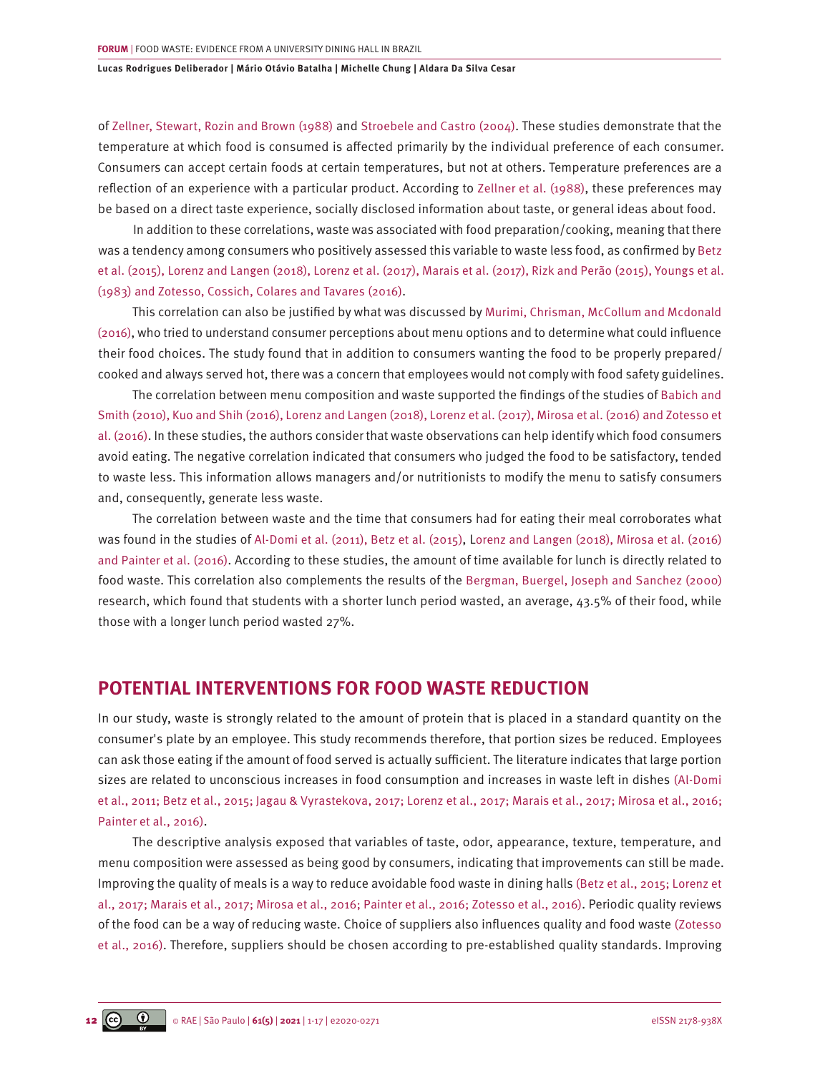of [Zellner, Stewart, Rozin and Brown \(1988\)](#page-16-0) and [Stroebele and Castro \(2004\)](#page-15-0). These studies demonstrate that the temperature at which food is consumed is affected primarily by the individual preference of each consumer. Consumers can accept certain foods at certain temperatures, but not at others. Temperature preferences are a reflection of an experience with a particular product. According to [Zellner et al. \(1988\),](#page-16-0) these preferences may be based on a direct taste experience, socially disclosed information about taste, or general ideas about food.

In addition to these correlations, waste was associated with food preparation/cooking, meaning that there was a tendency among consumers who positively assessed this variable to waste less food, as confirmed by [Betz](#page-13-0) [et al. \(2015\),](#page-13-0) [Lorenz and Langen \(2018\), Lorenz et al. \(2017\), Marais et al. \(2017\), Rizk and Perão \(2015\), Youngs et al.](#page-14-0)  [\(1983\) and Zotesso, Cossich, Colares and Tavares \(2016\)](#page-14-0).

This correlation can also be justified by what was discussed by [Murimi, Chrisman, McCollum and Mcdonald](#page-14-0) [\(2016\)](#page-14-0), who tried to understand consumer perceptions about menu options and to determine what could influence their food choices. The study found that in addition to consumers wanting the food to be properly prepared/ cooked and always served hot, there was a concern that employees would not comply with food safety guidelines.

The correlation between menu composition and waste supported the findings of the studies of [Babich and](#page-13-0) [Smith \(2010\),](#page-13-0) [Kuo and Shih \(2016\), Lorenz and Langen \(2018\), Lorenz et al. \(2017\), Mirosa et al. \(2016\)](#page-14-0) a[nd Zotesso et](#page-16-0) [al. \(2016\)](#page-16-0). In these studies, the authors consider that waste observations can help identify which food consumers avoid eating. The negative correlation indicated that consumers who judged the food to be satisfactory, tended to waste less. This information allows managers and/or nutritionists to modify the menu to satisfy consumers and, consequently, generate less waste.

The correlation between waste and the time that consumers had for eating their meal corroborates what was found in the studies of [Al-Domi et al. \(2011\), Betz et al. \(2015\),](#page-13-0) [Lorenz and Langen \(2018\), Mirosa et al. \(2016\)](#page-14-0) [and Painter et al. \(2016\)](#page-14-0). According to these studies, the amount of time available for lunch is directly related to food waste. This correlation also complements the results of the [Bergman, Buergel, Joseph and Sanchez \(2000\)](#page-13-0) research, which found that students with a shorter lunch period wasted, an average, 43.5% of their food, while those with a longer lunch period wasted 27%.

# **POTENTIAL INTERVENTIONS FOR FOOD WASTE REDUCTION**

In our study, waste is strongly related to the amount of protein that is placed in a standard quantity on the consumer's plate by an employee. This study recommends therefore, that portion sizes be reduced. Employees can ask those eating if the amount of food served is actually sufficient. The literature indicates that large portion sizes are related to unconscious increases in food consumption and increases in waste left in dishes [\(Al-Domi](#page-13-0) [et al., 2011; Betz et al., 2015;](#page-13-0) [Jagau & Vyrastekova, 2017; Lorenz et al., 2017; Marais et al., 2017; Mirosa et al., 2016;](#page-14-0)  [Painter et al., 2016\).](#page-14-0)

The descriptive analysis exposed that variables of taste, odor, appearance, texture, temperature, and menu composition were assessed as being good by consumers, indicating that improvements can still be made. Improving the quality of meals is a way to reduce avoidable food waste in dining halls [\(Betz et al., 2015;](#page-13-0) [Lorenz et](#page-15-0) [al., 2017; Marais et al., 2017; Mirosa et al., 2016; Painter et al., 2016; Zotesso et al., 2016\).](#page-15-0) Periodic quality reviews of the food can be a way of reducing waste. Choice of suppliers also influences quality and food waste [\(Zotesso](#page-16-0) [et al., 2016\)](#page-16-0). Therefore, suppliers should be chosen according to pre-established quality standards. Improving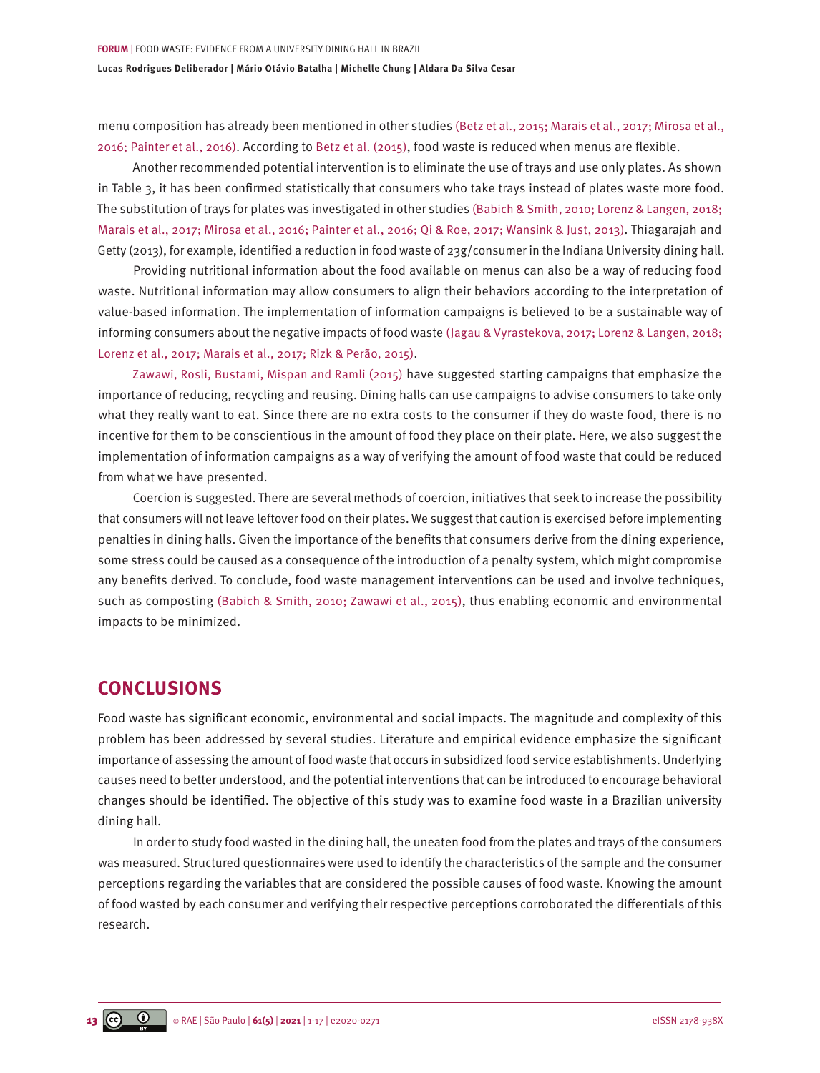menu composition has already been mentioned in other studies [\(Betz et al., 2015; Marais et al., 2017; Mirosa et al.,](#page-13-0) [2016; Painter et al., 2016\).](#page-13-0) According to [Betz et al. \(2015\)](#page-13-0), food waste is reduced when menus are flexible.

Another recommended potential intervention is to eliminate the use of trays and use only plates. As shown in Table 3, it has been confirmed statistically that consumers who take trays instead of plates waste more food. The substitution of trays for plates was investigated in other studies [\(Babich & Smith, 2010; Lorenz & Langen, 2018;](#page-13-0)  [Marais et al., 2017; Mirosa et al., 2016; Painter et al., 2016; Qi & Roe, 2017; Wansink & Just, 2013\)](#page-13-0). Thiagarajah and Getty (2013), for example, identified a reduction in food waste of 23g/consumer in the Indiana University dining hall.

Providing nutritional information about the food available on menus can also be a way of reducing food waste. Nutritional information may allow consumers to align their behaviors according to the interpretation of value-based information. The implementation of information campaigns is believed to be a sustainable way of informing consumers about the negative impacts of food waste [\(Jagau & Vyrastekova, 2017; Lorenz & Langen, 2018;](#page-14-0)  [Lorenz et al., 2017; Marais et al., 2017; Rizk & Perão, 2015\).](#page-14-0)

[Zawawi, Rosli, Bustami, Mispan and Ramli \(2015\)](#page-16-0) have suggested starting campaigns that emphasize the importance of reducing, recycling and reusing. Dining halls can use campaigns to advise consumers to take only what they really want to eat. Since there are no extra costs to the consumer if they do waste food, there is no incentive for them to be conscientious in the amount of food they place on their plate. Here, we also suggest the implementation of information campaigns as a way of verifying the amount of food waste that could be reduced from what we have presented.

Coercion is suggested. There are several methods of coercion, initiatives that seek to increase the possibility that consumers will not leave leftover food on their plates. We suggest that caution is exercised before implementing penalties in dining halls. Given the importance of the benefits that consumers derive from the dining experience, some stress could be caused as a consequence of the introduction of a penalty system, which might compromise any benefits derived. To conclude, food waste management interventions can be used and involve techniques, such as composting [\(Babich & Smith, 2010; Zawawi et al., 2015\),](#page-13-0) thus enabling economic and environmental impacts to be minimized.

## **CONCLUSIONS**

Food waste has significant economic, environmental and social impacts. The magnitude and complexity of this problem has been addressed by several studies. Literature and empirical evidence emphasize the significant importance of assessing the amount of food waste that occurs in subsidized food service establishments. Underlying causes need to better understood, and the potential interventions that can be introduced to encourage behavioral changes should be identified. The objective of this study was to examine food waste in a Brazilian university dining hall.

In order to study food wasted in the dining hall, the uneaten food from the plates and trays of the consumers was measured. Structured questionnaires were used to identify the characteristics of the sample and the consumer perceptions regarding the variables that are considered the possible causes of food waste. Knowing the amount of food wasted by each consumer and verifying their respective perceptions corroborated the differentials of this research.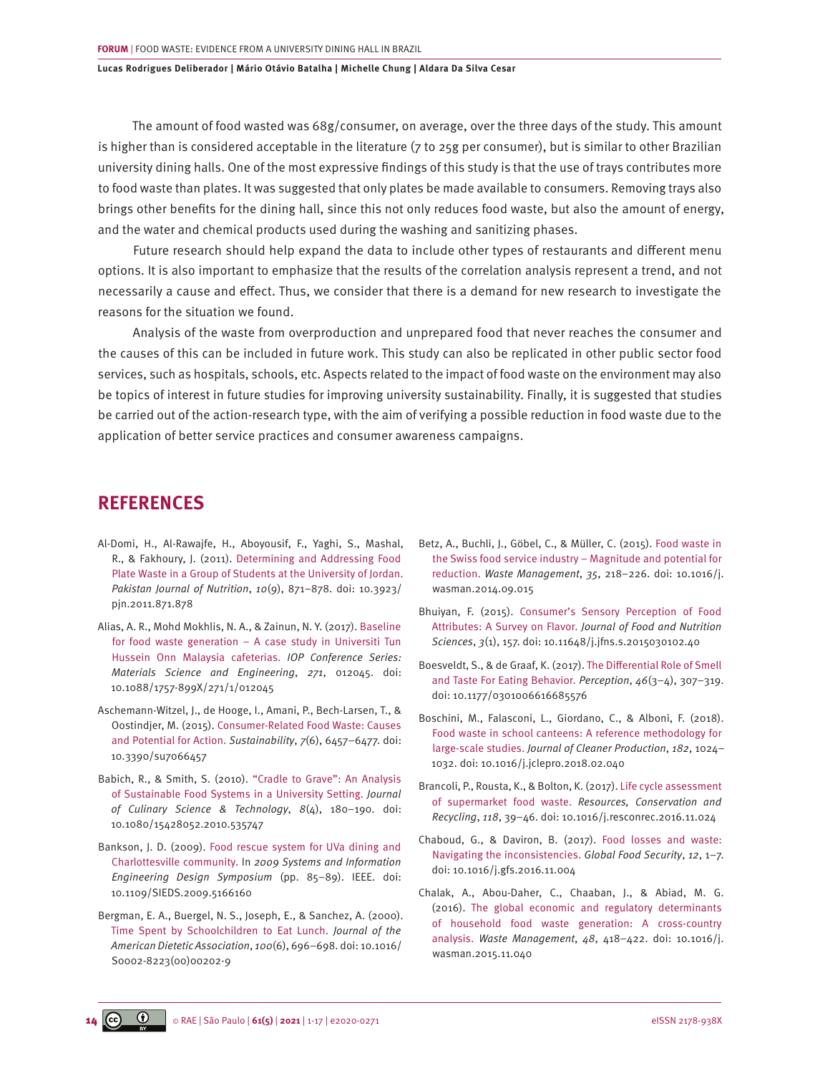<span id="page-13-0"></span>The amount of food wasted was 68g/consumer, on average, over the three days of the study. This amount is higher than is considered acceptable in the literature (7 to 25g per consumer), but is similar to other Brazilian university dining halls. One of the most expressive findings of this study is that the use of trays contributes more to food waste than plates. It was suggested that only plates be made available to consumers. Removing trays also brings other benefits for the dining hall, since this not only reduces food waste, but also the amount of energy, and the water and chemical products used during the washing and sanitizing phases.

Future research should help expand the data to include other types of restaurants and different menu options. It is also important to emphasize that the results of the correlation analysis represent a trend, and not necessarily a cause and effect. Thus, we consider that there is a demand for new research to investigate the reasons for the situation we found.

Analysis of the waste from overproduction and unprepared food that never reaches the consumer and the causes of this can be included in future work. This study can also be replicated in other public sector food services, such as hospitals, schools, etc. Aspects related to the impact of food waste on the environment may also be topics of interest in future studies for improving university sustainability. Finally, it is suggested that studies be carried out of the action-research type, with the aim of verifying a possible reduction in food waste due to the application of better service practices and consumer awareness campaigns.

# **REFERENCES**

- [Al-Domi, H., Al-Rawajfe, H., Aboyousif, F., Yaghi, S., Mashal,](https://doi.org/10.3923/pjn.2011.871.878) [R., & Fakhoury, J. \(2011\). Determining and Addressing Food](https://doi.org/10.3923/pjn.2011.871.878)  [Plate Waste in a Group of Students at the University of Jordan.](https://doi.org/10.3923/pjn.2011.871.878) *[Pakistan Journal of Nutrition](https://doi.org/10.3923/pjn.2011.871.878)*, *10*(9), 871–878. doi: 10.3923/ [pjn.2011.871.878](https://doi.org/10.3923/pjn.2011.871.878)
- [Alias, A. R., Mohd Mokhlis, N. A., & Zainun, N. Y. \(2017\). Baseline](https://doi.org/10.1088/1757-899X/271/1/012045)  [for food waste generation – A case study in Universiti Tun](https://doi.org/10.1088/1757-899X/271/1/012045)  [Hussein Onn Malaysia cafeterias.](https://doi.org/10.1088/1757-899X/271/1/012045) *IOP Conference Series: [Materials Science and Engineering](https://doi.org/10.1088/1757-899X/271/1/012045)*, *271*, 012045. doi: [10.1088/1757-899X/271/1/012045](https://doi.org/10.1088/1757-899X/271/1/012045)
- [Aschemann-Witzel, J., de Hooge, I., Amani, P., Bech-Larsen, T., &](https://doi.org/10.3390/su7066457)  [Oostindjer, M. \(2015\). Consumer-Related Food Waste: Causes](https://doi.org/10.3390/su7066457)  [and Potential for Action.](https://doi.org/10.3390/su7066457) *Sustainability*, *7*(6), 6457–6477. doi: [10.3390/su7066457](https://doi.org/10.3390/su7066457)
- [Babich, R., & Smith, S. \(2010\). "Cradle to Grave": An Analysis](https://doi.org/10.1080/15428052.2010.535747)  [of Sustainable Food Systems in a University Setting.](https://doi.org/10.1080/15428052.2010.535747) *Journal [of Culinary Science & Technology](https://doi.org/10.1080/15428052.2010.535747)*, *8*(4), 180–190. doi: [10.1080/15428052.2010.535747](https://doi.org/10.1080/15428052.2010.535747)
- [Bankson, J. D. \(2009\). Food rescue system for UVa dining and](https://doi.org/10.1109/SIEDS.2009.5166160)  Charlottesville community. In *[2009 Systems and Information](https://doi.org/10.1109/SIEDS.2009.5166160)  [Engineering Design Symposium](https://doi.org/10.1109/SIEDS.2009.5166160)* (pp. 85–89). IEEE. doi: [10.1109/SIEDS.2009.5166160](https://doi.org/10.1109/SIEDS.2009.5166160)
- [Bergman, E. A., Buergel, N. S., Joseph, E., & Sanchez, A. \(2000\).](https://doi.org/10.1016/S0002-8223(00)00202-9) [Time Spent by Schoolchildren to Eat Lunch.](https://doi.org/10.1016/S0002-8223(00)00202-9) *Journal of the [American Dietetic Association](https://doi.org/10.1016/S0002-8223(00)00202-9)*, *100*(6), 696–698. doi: 10.1016/ [S0002-8223\(00\)00202-9](https://doi.org/10.1016/S0002-8223(00)00202-9)
- [Betz, A., Buchli, J., Göbel, C., & Müller, C. \(2015\). Food waste in](https://doi.org/10.1016/j.wasman.2014.09.015) [the Swiss food service industry – Magnitude and potential for](https://doi.org/10.1016/j.wasman.2014.09.015) reduction. *Waste Management*, *35*[, 218–226. doi: 10.1016/j.](https://doi.org/10.1016/j.wasman.2014.09.015) [wasman.2014.09.015](https://doi.org/10.1016/j.wasman.2014.09.015)
- [Bhuiyan, F. \(2015\). Consumer's Sensory Perception of Food](https://doi.org/10.11648/j.jfns.s.2015030102.40) [Attributes: A Survey on Flavor.](https://doi.org/10.11648/j.jfns.s.2015030102.40) *Journal of Food and Nutrition Sciences*, *3*[\(1\), 157. doi: 10.11648/j.jfns.s.2015030102.40](https://doi.org/10.11648/j.jfns.s.2015030102.40)
- [Boesveldt, S., & de Graaf, K. \(2017\). The Differential Role of Smell](https://doi.org/10.1177/0301006616685576)  [and Taste For Eating Behavior.](https://doi.org/10.1177/0301006616685576) *Perception*, *46*(3–4), 307–319. [doi: 10.1177/0301006616685576](https://doi.org/10.1177/0301006616685576)
- [Boschini, M., Falasconi, L., Giordano, C., & Alboni, F. \(2018\).](https://doi.org/10.1016/j.jclepro.2018.02.040)  [Food waste in school canteens: A reference methodology for](https://doi.org/10.1016/j.jclepro.2018.02.040) large-scale studies. *[Journal of Cleaner Production](https://doi.org/10.1016/j.jclepro.2018.02.040)*, *182*, 1024– [1032. doi: 10.1016/j.jclepro.2018.02.040](https://doi.org/10.1016/j.jclepro.2018.02.040)
- [Brancoli, P., Rousta, K., & Bolton, K. \(2017\). Life cycle assessment](https://doi.org/10.1016/j.resconrec.2016.11.024) of supermarket food waste. *[Resources, Conservation and](https://doi.org/10.1016/j.resconrec.2016.11.024)  Recycling*, *118*[, 39–46. doi: 10.1016/j.resconrec.2016.11.024](https://doi.org/10.1016/j.resconrec.2016.11.024)
- [Chaboud, G., & Daviron, B. \(2017\). Food losses and waste:](https://doi.org/10.1016/j.gfs.2016.11.004) [Navigating the inconsistencies.](https://doi.org/10.1016/j.gfs.2016.11.004) *Global Food Security*, *12*, 1–7. [doi: 10.1016/j.gfs.2016.11.004](https://doi.org/10.1016/j.gfs.2016.11.004)
- [Chalak, A., Abou-Daher, C., Chaaban, J., & Abiad, M. G.](https://doi.org/10.1016/j.wasman.2015.11.040)  [\(2016\). The global economic and regulatory determinants](https://doi.org/10.1016/j.wasman.2015.11.040) [of household food waste generation: A cross-country](https://doi.org/10.1016/j.wasman.2015.11.040) analysis. *Waste Management*, *48*[, 418–422. doi: 10.1016/j.](https://doi.org/10.1016/j.wasman.2015.11.040) [wasman.2015.11.040](https://doi.org/10.1016/j.wasman.2015.11.040)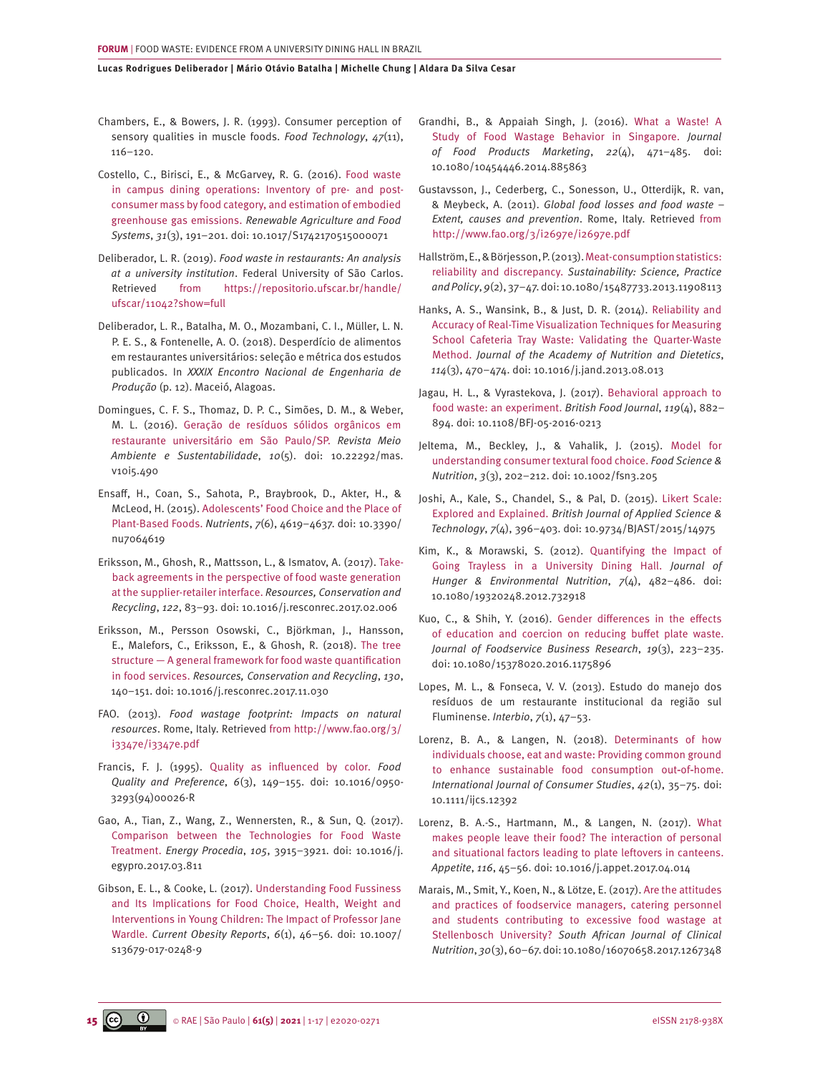- <span id="page-14-0"></span>Chambers, E., & Bowers, J. R. (1993). Consumer perception of sensory qualities in muscle foods. *Food Technology*, *47*(11), 116–120.
- [Costello, C., Birisci, E., & McGarvey, R. G. \(2016\). Food waste](https://doi.org/10.1017/S1742170515000071)  [in campus dining operations: Inventory of pre- and post](https://doi.org/10.1017/S1742170515000071)[consumer mass by food category, and estimation of embodied](https://doi.org/10.1017/S1742170515000071)  greenhouse gas emissions. *[Renewable Agriculture and Food](https://doi.org/10.1017/S1742170515000071)  Systems*, *31*[\(3\), 191–201. doi: 10.1017/S1742170515000071](https://doi.org/10.1017/S1742170515000071)
- Deliberador, L. R. (2019). *Food waste in restaurants: An analysis at a university institution*. Federal University of São Carlos. Retrieved from [https://repositorio.ufscar.br/handle/](https://repositorio.ufscar.br/handle/ufscar/11042?show=full) [ufscar/11042?show=full](https://repositorio.ufscar.br/handle/ufscar/11042?show=full)
- Deliberador, L. R., Batalha, M. O., Mozambani, C. I., Müller, L. N. P. E. S., & Fontenelle, A. O. (2018). Desperdício de alimentos em restaurantes universitários: seleção e métrica dos estudos publicados. In *XXXIX Encontro Nacional de Engenharia de Produção* (p. 12). Maceió, Alagoas.
- [Domingues, C. F. S., Thomaz, D. P. C., Simões, D. M., & Weber,](https://doi.org/10.22292/mas.v10i5.490) [M. L. \(2016\). Geração de resíduos sólidos orgânicos em](https://doi.org/10.22292/mas.v10i5.490)  [restaurante universitário em São Paulo/SP.](https://doi.org/10.22292/mas.v10i5.490) *Revista Meio [Ambiente e Sustentabilidade](https://doi.org/10.22292/mas.v10i5.490)*, *10*(5). doi: 10.22292/mas. [v10i5.490](https://doi.org/10.22292/mas.v10i5.490)
- [Ensaff, H., Coan, S., Sahota, P., Braybrook, D., Akter, H., &](https://doi.org/10.3390/nu7064619)  [McLeod, H. \(2015\). Adolescents' Food Choice and the Place of](https://doi.org/10.3390/nu7064619)  Plant-Based Foods. *Nutrients*, *7*[\(6\), 4619–4637. doi: 10.3390/](https://doi.org/10.3390/nu7064619) [nu7064619](https://doi.org/10.3390/nu7064619)
- [Eriksson, M., Ghosh, R., Mattsson, L., & Ismatov, A. \(2017\). Take](https://doi.org/10.1016/j.resconrec.2017.02.006)[back agreements in the perspective of food waste generation](https://doi.org/10.1016/j.resconrec.2017.02.006)  [at the supplier-retailer interface.](https://doi.org/10.1016/j.resconrec.2017.02.006) *Resources, Conservation and Recycling*, *122*[, 83–93. doi: 10.1016/j.resconrec.2017.02.006](https://doi.org/10.1016/j.resconrec.2017.02.006)
- [Eriksson, M., Persson Osowski, C., Björkman, J., Hansson,](https://doi.org/10.1016/j.resconrec.2017.11.030) [E., Malefors, C., Eriksson, E., & Ghosh, R. \(2018\). The tree](https://doi.org/10.1016/j.resconrec.2017.11.030)  [structure — A general framework for food waste quantification](https://doi.org/10.1016/j.resconrec.2017.11.030)  in food services. *[Resources, Conservation and Recycling](https://doi.org/10.1016/j.resconrec.2017.11.030)*, *130*, [140–151. doi: 10.1016/j.resconrec.2017.11.030](https://doi.org/10.1016/j.resconrec.2017.11.030)
- FAO. (2013). *Food wastage footprint: Impacts on natural resources*. Rome, Italy. Retrieved from [http://www.fao.org/3/](http://www.fao.org/3/i3347e/i3347e.pdf) [i3347e/i3347e.pdf](http://www.fao.org/3/i3347e/i3347e.pdf)
- [Francis, F. J. \(1995\). Quality as influenced by color.](https://doi.org/10.1016/0950-3293(94)00026-R) *Food Quality and Preference*, *6*[\(3\), 149–155. doi: 10.1016/0950-](https://doi.org/10.1016/0950-3293(94)00026-R) [3293\(94\)00026-R](https://doi.org/10.1016/0950-3293(94)00026-R)
- [Gao, A., Tian, Z., Wang, Z., Wennersten, R., & Sun, Q. \(2017\).](https://doi.org/10.1016/j.egypro.2017.03.811) [Comparison between the Technologies for Food Waste](https://doi.org/10.1016/j.egypro.2017.03.811)  Treatment. *Energy Procedia*, *105*[, 3915–3921. doi: 10.1016/j.](https://doi.org/10.1016/j.egypro.2017.03.811) [egypro.2017.03.811](https://doi.org/10.1016/j.egypro.2017.03.811)
- [Gibson, E. L., & Cooke, L. \(2017\). Understanding Food Fussiness](https://doi.org/10.1007/s13679-017-0248-9)  [and Its Implications for Food Choice, Health, Weight and](https://doi.org/10.1007/s13679-017-0248-9)  [Interventions in Young Children: The Impact of Professor Jane](https://doi.org/10.1007/s13679-017-0248-9)  Wardle. *Current Obesity Reports*, *6*[\(1\), 46–56. doi: 10.1007/](https://doi.org/10.1007/s13679-017-0248-9) [s13679-017-0248-9](https://doi.org/10.1007/s13679-017-0248-9)
- [Grandhi, B., & Appaiah Singh, J. \(2016\). What a Waste! A](https://doi.org/10.1080/10454446.2014.885863) [Study of Food Wastage Behavior in Singapore.](https://doi.org/10.1080/10454446.2014.885863) *Journal [of Food Products Marketing](https://doi.org/10.1080/10454446.2014.885863)*, *22*(4), 471–485. doi: [10.1080/10454446.2014.885863](https://doi.org/10.1080/10454446.2014.885863)
- Gustavsson, J., Cederberg, C., Sonesson, U., Otterdijk, R. van, & Meybeck, A. (2011). *Global food losses and food waste – Extent, causes and prevention*. Rome, Italy. Retrieved from <http://www.fao.org/3/i2697e/i2697e.pdf>
- [Hallström, E., & Börjesson, P. \(2013\). Meat-consumption statistics:](https://doi.org/10.1080/15487733.2013.11908113) reliability and discrepancy. *[Sustainability: Science, Practice](https://doi.org/10.1080/15487733.2013.11908113) and Policy*, *9*[\(2\), 37–47. doi: 10.1080/15487733.2013.11908113](https://doi.org/10.1080/15487733.2013.11908113)
- [Hanks, A. S., Wansink, B., & Just, D. R. \(2014\). Reliability and](https://doi.org/10.1016/j.jand.2013.08.013) [Accuracy of Real-Time Visualization Techniques for Measuring](https://doi.org/10.1016/j.jand.2013.08.013) [School Cafeteria Tray Waste: Validating the Quarter-Waste](https://doi.org/10.1016/j.jand.2013.08.013)  Method. *[Journal of the Academy of Nutrition and Dietetics](https://doi.org/10.1016/j.jand.2013.08.013)*, *114*[\(3\), 470–474. doi: 10.1016/j.jand.2013.08.013](https://doi.org/10.1016/j.jand.2013.08.013)
- [Jagau, H. L., & Vyrastekova, J. \(2017\). Behavioral approach to](Jagau, H. L., & Vyrastekova, J. (2017). Behavioral approach to food waste: an experiment. British Food Journal, 119(4), 882)  [food waste: an experiment.](Jagau, H. L., & Vyrastekova, J. (2017). Behavioral approach to food waste: an experiment. British Food Journal, 119(4), 882) *British Food Journal*, *119*(4), 882– [894. doi: 10.1108/BFJ-05-2016-0213](Jagau, H. L., & Vyrastekova, J. (2017). Behavioral approach to food waste: an experiment. British Food Journal, 119(4), 882)
- [Jeltema, M., Beckley, J., & Vahalik, J. \(2015\). Model for](https://doi.org/10.1002/fsn3.205) [understanding consumer textural food choice.](https://doi.org/10.1002/fsn3.205) *Food Science & Nutrition*, *3*[\(3\), 202–212. doi: 10.1002/fsn3.205](https://doi.org/10.1002/fsn3.205)
- [Joshi, A., Kale, S., Chandel, S., & Pal, D. \(2015\). Likert Scale:](https://doi.org/10.9734/BJAST/2015/14975) Explored and Explained. *[British Journal of Applied Science &](https://doi.org/10.9734/BJAST/2015/14975) Technology*, *7*[\(4\), 396–403. doi: 10.9734/BJAST/2015/14975](https://doi.org/10.9734/BJAST/2015/14975)
- [Kim, K., & Morawski, S. \(2012\). Quantifying the Impact of](https://doi.org/10.1080/19320248.2012.732918) [Going Trayless in a University Dining Hall.](https://doi.org/10.1080/19320248.2012.732918) *Journal of [Hunger & Environmental Nutrition](https://doi.org/10.1080/19320248.2012.732918)*, *7*(4), 482–486. doi: [10.1080/19320248.2012.732918](https://doi.org/10.1080/19320248.2012.732918)
- [Kuo, C., & Shih, Y. \(2016\). Gender differences in the effects](https://doi.org/10.1080/15378020.2016.1175896) [of education and coercion on reducing buffet plate waste.](https://doi.org/10.1080/15378020.2016.1175896) *[Journal of Foodservice Business Research](https://doi.org/10.1080/15378020.2016.1175896)*, *19*(3), 223–235. [doi: 10.1080/15378020.2016.1175896](https://doi.org/10.1080/15378020.2016.1175896)
- Lopes, M. L., & Fonseca, V. V. (2013). Estudo do manejo dos resíduos de um restaurante institucional da região sul Fluminense. *Interbio*, *7*(1), 47–53.
- [Lorenz, B. A., & Langen, N. \(2018\). Determinants of how](https://doi.org/10.1111/ijcs.12392) [individuals choose, eat and waste: Providing common ground](https://doi.org/10.1111/ijcs.12392) [to enhance sustainable food consumption out](https://doi.org/10.1111/ijcs.12392)‐of‐home. *[International Journal of Consumer Studies](https://doi.org/10.1111/ijcs.12392)*, *42*(1), 35–75. doi: [10.1111/ijcs.12392](https://doi.org/10.1111/ijcs.12392)
- [Lorenz, B. A.-S., Hartmann, M., & Langen, N. \(2017\). What](https://doi.org/10.1016/j.appet.2017.04.014) [makes people leave their food? The interaction of personal](https://doi.org/10.1016/j.appet.2017.04.014)  [and situational factors leading to plate leftovers in canteens.](https://doi.org/10.1016/j.appet.2017.04.014) *Appetite*, *116*[, 45–56. doi: 10.1016/j.appet.2017.04.014](https://doi.org/10.1016/j.appet.2017.04.014)
- [Marais, M., Smit, Y., Koen, N., & Lötze, E. \(2017\). Are the attitudes](https://doi.org/10.1080/16070658.2017.1267348) [and practices of foodservice managers, catering personnel](https://doi.org/10.1080/16070658.2017.1267348)  [and students contributing to excessive food wastage at](https://doi.org/10.1080/16070658.2017.1267348) Stellenbosch University? *[South African Journal of Clinical](https://doi.org/10.1080/16070658.2017.1267348) Nutrition*, *30*[\(3\), 60–67. doi: 10.1080/16070658.2017.1267348](https://doi.org/10.1080/16070658.2017.1267348)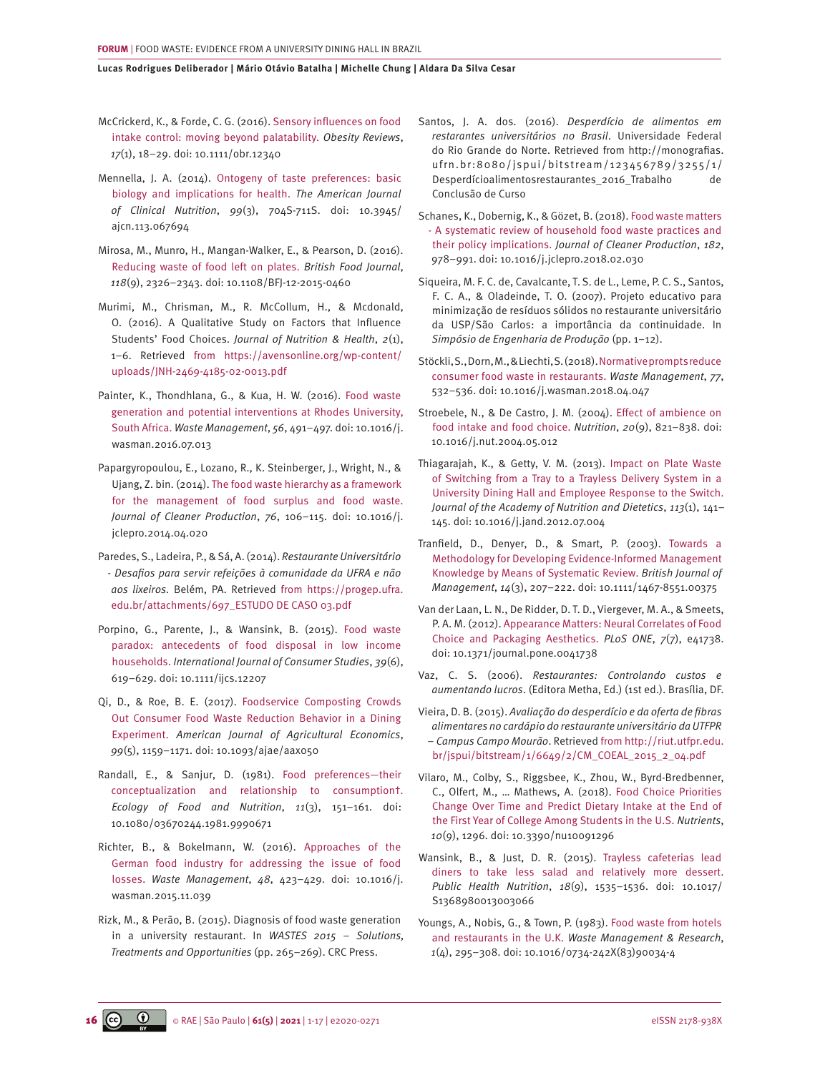- <span id="page-15-0"></span>[McCrickerd, K., & Forde, C. G. \(2016\). Sensory influences on food](https://doi.org/10.1111/obr.12340)  [intake control: moving beyond palatability.](https://doi.org/10.1111/obr.12340) *Obesity Reviews*, *17*[\(1\), 18–29. doi: 10.1111/obr.12340](https://doi.org/10.1111/obr.12340)
- [Mennella, J. A. \(2014\). Ontogeny of taste preferences: basic](https://doi.org/10.3945/ajcn.113.067694)  [biology and implications for health.](https://doi.org/10.3945/ajcn.113.067694) *The American Journal of Clinical Nutrition*, *99*[\(3\), 704S-711S. doi: 10.3945/](https://doi.org/10.3945/ajcn.113.067694) [ajcn.113.067694](https://doi.org/10.3945/ajcn.113.067694)
- [Mirosa, M., Munro, H., Mangan-Walker, E., & Pearson, D. \(2016\).](https://doi.org/10.1108/BFJ-12-2015-0460) [Reducing waste of food left on plates.](https://doi.org/10.1108/BFJ-12-2015-0460) *British Food Journal*, *118*[\(9\), 2326–2343. doi: 10.1108/BFJ-12-2015-0460](https://doi.org/10.1108/BFJ-12-2015-0460)
- Murimi, M., Chrisman, M., R. McCollum, H., & Mcdonald, O. (2016). A Qualitative Study on Factors that Influence Students' Food Choices. *Journal of Nutrition & Health*, *2*(1), 1–6. Retrieved from [https://avensonline.org/wp-content/](https://avensonline.org/wp-content/uploads/JNH-2469-4185-02-0013.pdf) [uploads/JNH-2469-4185-02-0013.pdf](https://avensonline.org/wp-content/uploads/JNH-2469-4185-02-0013.pdf)
- [Painter, K., Thondhlana, G., & Kua, H. W. \(2016\). Food waste](https://doi.org/10.1016/j.wasman.2016.07.013)  [generation and potential interventions at Rhodes University,](https://doi.org/10.1016/j.wasman.2016.07.013) South Africa. *Waste Management*, *56*[, 491–497. doi: 10.1016/j.](https://doi.org/10.1016/j.wasman.2016.07.013) [wasman.2016.07.013](https://doi.org/10.1016/j.wasman.2016.07.013)
- [Papargyropoulou, E., Lozano, R., K. Steinberger, J., Wright, N., &](https://doi.org/10.1016/j.jclepro.2014.04.020)  [Ujang, Z. bin. \(2014\). The food waste hierarchy as a framework](https://doi.org/10.1016/j.jclepro.2014.04.020)  [for the management of food surplus and food waste.](https://doi.org/10.1016/j.jclepro.2014.04.020) *[Journal of Cleaner Production](https://doi.org/10.1016/j.jclepro.2014.04.020)*, *76*, 106–115. doi: 10.1016/j. [jclepro.2014.04.020](https://doi.org/10.1016/j.jclepro.2014.04.020)
- Paredes, S., Ladeira, P., & Sá, A. (2014). *Restaurante Universitário - Desafios para servir refeições à comunidade da UFRA e não aos lixeiros.* Belém, PA. Retrieved from [https://progep.ufra.](https://progep.ufra.edu.br/attachments/697_ESTUDO DE CASO 03.pdf) [edu.br/attachments/697\\_ESTUDO DE CASO 03.pdf](https://progep.ufra.edu.br/attachments/697_ESTUDO DE CASO 03.pdf)
- [Porpino, G., Parente, J., & Wansink, B. \(2015\). Food waste](https://doi.org/10.1111/ijcs.12207)  [paradox: antecedents of food disposal in low income](https://doi.org/10.1111/ijcs.12207)  households. *[International Journal of Consumer Studies](https://doi.org/10.1111/ijcs.12207)*, *39*(6), [619–629. doi: 10.1111/ijcs.12207](https://doi.org/10.1111/ijcs.12207)
- [Qi, D., & Roe, B. E. \(2017\). Foodservice Composting Crowds](https://doi.org/10.1093/ajae/aax050)  [Out Consumer Food Waste Reduction Behavior in a Dining](https://doi.org/10.1093/ajae/aax050)  Experiment. *[American Journal of Agricultural Economics](https://doi.org/10.1093/ajae/aax050)*, *99*[\(5\), 1159–1171. doi: 10.1093/ajae/aax050](https://doi.org/10.1093/ajae/aax050)
- [Randall, E., & Sanjur, D. \(1981\). Food preferences—their](https://doi.org/10.1080/03670244.1981.9990671)  [conceptualization and relationship to consumption†.](https://doi.org/10.1080/03670244.1981.9990671) *[Ecology of Food and Nutrition](https://doi.org/10.1080/03670244.1981.9990671)*, *11*(3), 151–161. doi: [10.1080/03670244.1981.9990671](https://doi.org/10.1080/03670244.1981.9990671)
- [Richter, B., & Bokelmann, W. \(2016\). Approaches of the](https://doi.org/10.1016/j.wasman.2015.11.039)  [German food industry for addressing the issue of food](https://doi.org/10.1016/j.wasman.2015.11.039)  losses. *Waste Management*, *48*[, 423–429. doi: 10.1016/j.](https://doi.org/10.1016/j.wasman.2015.11.039) [wasman.2015.11.039](https://doi.org/10.1016/j.wasman.2015.11.039)
- Rizk, M., & Perão, B. (2015). Diagnosis of food waste generation in a university restaurant. In *WASTES 2015 – Solutions, Treatments and Opportunities* (pp. 265–269). CRC Press.
- Santos, J. A. dos. (2016). *Desperdício de alimentos em restarantes universitários no Brasil*. Universidade Federal do Rio Grande do Norte. Retrieved from http://monografias. ufrn.br:8080/jspui/bitstream/123456789/3255/1/ Desperdícioalimentosrestaurantes\_2016\_Trabalho de Conclusão de Curso
- [Schanes, K., Dobernig, K., & Gözet, B. \(2018\). Food waste matters](https://doi.org/10.1016/j.jclepro.2018.02.030) [- A systematic review of household food waste practices and](https://doi.org/10.1016/j.jclepro.2018.02.030) their policy implications. *[Journal of Cleaner Production](https://doi.org/10.1016/j.jclepro.2018.02.030)*, *182*, [978–991. doi: 10.1016/j.jclepro.2018.02.030](https://doi.org/10.1016/j.jclepro.2018.02.030)
- Siqueira, M. F. C. de, Cavalcante, T. S. de L., Leme, P. C. S., Santos, F. C. A., & Oladeinde, T. O. (2007). Projeto educativo para minimização de resíduos sólidos no restaurante universitário da USP/São Carlos: a importância da continuidade. In *Simpósio de Engenharia de Produção* (pp. 1–12).
- [Stöckli, S., Dorn, M., & Liechti, S. \(2018\). Normative prompts reduce](https://doi.org/10.1016/j.wasman.2018.04.047)  [consumer food waste in restaurants.](https://doi.org/10.1016/j.wasman.2018.04.047) *Waste Management*, *77*, [532–536. doi: 10.1016/j.wasman.2018.04.047](https://doi.org/10.1016/j.wasman.2018.04.047)
- [Stroebele, N., & De Castro, J. M. \(2004\). Effect of ambience on](https://doi.org/10.1016/j.nut.2004.05.012) [food intake and food choice.](https://doi.org/10.1016/j.nut.2004.05.012) *Nutrition*, *20*(9), 821–838. doi: [10.1016/j.nut.2004.05.012](https://doi.org/10.1016/j.nut.2004.05.012)
- [Thiagarajah, K., & Getty, V. M. \(2013\). Impact on Plate Waste](https://doi.org/10.1016/j.jand.2012.07.004)  [of Switching from a Tray to a Trayless Delivery System in a](https://doi.org/10.1016/j.jand.2012.07.004) [University Dining Hall and Employee Response to the Switch.](https://doi.org/10.1016/j.jand.2012.07.004)  *[Journal of the Academy of Nutrition and Dietetics](https://doi.org/10.1016/j.jand.2012.07.004)*, *113*(1), 141– [145. doi: 10.1016/j.jand.2012.07.004](https://doi.org/10.1016/j.jand.2012.07.004)
- [Tranfield, D., Denyer, D., & Smart, P. \(2003\). Towards a](https://doi.org/10.1111/1467-8551.00375) [Methodology for Developing Evidence-Informed Management](https://doi.org/10.1111/1467-8551.00375) [Knowledge by Means of Systematic Review.](https://doi.org/10.1111/1467-8551.00375) *British Journal of Management*, *14*[\(3\), 207–222. doi: 10.1111/1467-8551.00375](https://doi.org/10.1111/1467-8551.00375)
- [Van der Laan, L. N., De Ridder, D. T. D., Viergever, M. A., & Smeets,](https://doi.org/10.1371/journal.pone.0041738)  [P. A. M. \(2012\). Appearance Matters: Neural Correlates of Food](https://doi.org/10.1371/journal.pone.0041738) [Choice and Packaging Aesthetics.](https://doi.org/10.1371/journal.pone.0041738) *PLoS ONE*, *7*(7), e41738. [doi: 10.1371/journal.pone.0041738](https://doi.org/10.1371/journal.pone.0041738)
- Vaz, C. S. (2006). *Restaurantes: Controlando custos e aumentando lucros*. (Editora Metha, Ed.) (1st ed.). Brasília, DF.
- Vieira, D. B. (2015). *Avaliação do desperdício e da oferta de fibras alimentares no cardápio do restaurante universitário da UTFPR – Campus Campo Mourão*. Retrieved from [http://riut.utfpr.edu.](http://riut.utfpr.edu.br/jspui/bitstream/1/6649/2/CM_COEAL_2015_2_04.pdf) [br/jspui/bitstream/1/6649/2/CM\\_COEAL\\_2015\\_2\\_04.pdf](http://riut.utfpr.edu.br/jspui/bitstream/1/6649/2/CM_COEAL_2015_2_04.pdf)
- [Vilaro, M., Colby, S., Riggsbee, K., Zhou, W., Byrd-Bredbenner,](Vilaro, M., Colby, S., Riggsbee, K., Zhou, W., Byrd-Bredbenner, C., Olfert, M., Nutrients, 10(9), 1296. https://doi: 10.3390/nu10091296)  [C., Olfert, M., … Mathews, A. \(2018\). Food Choice Priorities](Vilaro, M., Colby, S., Riggsbee, K., Zhou, W., Byrd-Bredbenner, C., Olfert, M., Nutrients, 10(9), 1296. https://doi: 10.3390/nu10091296) [Change Over Time and Predict Dietary Intake at the End of](Vilaro, M., Colby, S., Riggsbee, K., Zhou, W., Byrd-Bredbenner, C., Olfert, M., Nutrients, 10(9), 1296. https://doi: 10.3390/nu10091296) [the First Year of College Among Students in the U.S.](Vilaro, M., Colby, S., Riggsbee, K., Zhou, W., Byrd-Bredbenner, C., Olfert, M., Nutrients, 10(9), 1296. https://doi: 10.3390/nu10091296) *Nutrients*, *10*[\(9\), 1296. doi: 10.3390/nu10091296](Vilaro, M., Colby, S., Riggsbee, K., Zhou, W., Byrd-Bredbenner, C., Olfert, M., Nutrients, 10(9), 1296. https://doi: 10.3390/nu10091296)
- [Wansink, B., & Just, D. R. \(2015\). Trayless cafeterias lead](https://doi.org/10.1017/S1368980013003066) [diners to take less salad and relatively more dessert.](https://doi.org/10.1017/S1368980013003066)  *Public Health Nutrition*, *18*[\(9\), 1535–1536. doi: 10.1017/](https://doi.org/10.1017/S1368980013003066) [S1368980013003066](https://doi.org/10.1017/S1368980013003066)
- [Youngs, A., Nobis, G., & Town, P. \(1983\). Food waste from hotels](https://doi.org/10.1016/0734-242X(83)90034-4) and restaurants in the U.K. *[Waste Management & Research](https://doi.org/10.1016/0734-242X(83)90034-4)*, *1*[\(4\), 295–308. doi: 10.1016/0734-242X\(83\)90034-4](https://doi.org/10.1016/0734-242X(83)90034-4)